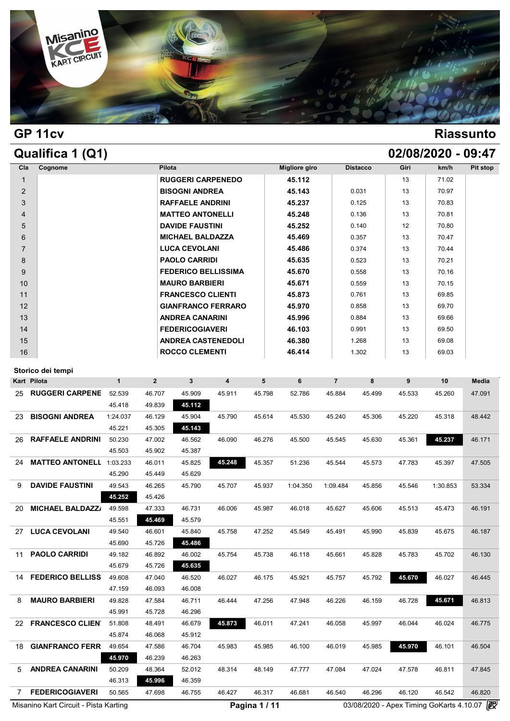

## **GP 11cv Riassunto**

## **Qualifica 1 (Q1) 02/08/2020 - 09:47**

|                | ~~~~~~~~ · / ~ · / |                            |               |                 |      |       |          |
|----------------|--------------------|----------------------------|---------------|-----------------|------|-------|----------|
| Cla            | Cognome            | Pilota                     | Migliore giro | <b>Distacco</b> | Giri | km/h  | Pit stop |
| $\mathbf{1}$   |                    | <b>RUGGERI CARPENEDO</b>   | 45.112        |                 | 13   | 71.02 |          |
| 2              |                    | <b>BISOGNI ANDREA</b>      | 45.143        | 0.031           | 13   | 70.97 |          |
| 3              |                    | <b>RAFFAELE ANDRINI</b>    | 45.237        | 0.125           | 13   | 70.83 |          |
| $\overline{4}$ |                    | <b>MATTEO ANTONELLI</b>    | 45.248        | 0.136           | 13   | 70.81 |          |
| 5              |                    | <b>DAVIDE FAUSTINI</b>     | 45.252        | 0.140           | 12   | 70.80 |          |
| 6              |                    | <b>MICHAEL BALDAZZA</b>    | 45.469        | 0.357           | 13   | 70.47 |          |
| $\overline{7}$ |                    | <b>LUCA CEVOLANI</b>       | 45.486        | 0.374           | 13   | 70.44 |          |
| 8              |                    | <b>PAOLO CARRIDI</b>       | 45.635        | 0.523           | 13   | 70.21 |          |
| 9              |                    | <b>FEDERICO BELLISSIMA</b> | 45.670        | 0.558           | 13   | 70.16 |          |
| 10             |                    | <b>MAURO BARBIERI</b>      | 45.671        | 0.559           | 13   | 70.15 |          |
| 11             |                    | <b>FRANCESCO CLIENTI</b>   | 45.873        | 0.761           | 13   | 69.85 |          |
| 12             |                    | <b>GIANFRANCO FERRARO</b>  | 45.970        | 0.858           | 13   | 69.70 |          |
| 13             |                    | <b>ANDREA CANARINI</b>     | 45.996        | 0.884           | 13   | 69.66 |          |
| 14             |                    | <b>FEDERICOGIAVERI</b>     | 46.103        | 0.991           | 13   | 69.50 |          |
| 15             |                    | <b>ANDREA CASTENEDOLI</b>  | 46.380        | 1.268           | 13   | 69.08 |          |
| 16             |                    | <b>ROCCO CLEMENTI</b>      | 46.414        | 1.302           | 13   | 69.03 |          |

|     | Storico dei tempi                     |              |                |              |                         |               |          |                |        |        |                                            |              |
|-----|---------------------------------------|--------------|----------------|--------------|-------------------------|---------------|----------|----------------|--------|--------|--------------------------------------------|--------------|
|     | Kart Pilota                           | $\mathbf{1}$ | $\overline{2}$ | $\mathbf{3}$ | $\overline{\mathbf{4}}$ | 5             | 6        | $\overline{7}$ | 8      | 9      | 10                                         | <b>Media</b> |
| 25  | <b>RUGGERI CARPENE</b>                | 52.539       | 46.707         | 45.909       | 45.911                  | 45.798        | 52.786   | 45.884         | 45.499 | 45.533 | 45.260                                     | 47.091       |
|     |                                       | 45.418       | 49.839         | 45.112       |                         |               |          |                |        |        |                                            |              |
| 23  | <b>BISOGNI ANDREA</b>                 | 1:24.037     | 46.129         | 45.904       | 45.790                  | 45.614        | 45.530   | 45.240         | 45.306 | 45.220 | 45.318                                     | 48.442       |
|     |                                       | 45.221       | 45.305         | 45.143       |                         |               |          |                |        |        |                                            |              |
| 26  | <b>RAFFAELE ANDRINI</b>               | 50.230       | 47.002         | 46.562       | 46.090                  | 46.276        | 45.500   | 45.545         | 45.630 | 45.361 | 45.237                                     | 46.171       |
|     |                                       | 45.503       | 45.902         | 45.387       |                         |               |          |                |        |        |                                            |              |
| 24  | <b>MATTEO ANTONELL</b>                | 1:03.233     | 46.011         | 45.825       | 45.248                  | 45.357        | 51.236   | 45.544         | 45.573 | 47.783 | 45.397                                     | 47.505       |
|     |                                       | 45.290       | 45.449         | 45.629       |                         |               |          |                |        |        |                                            |              |
| 9   | <b>DAVIDE FAUSTINI</b>                | 49.543       | 46.265         | 45.790       | 45.707                  | 45.937        | 1:04.350 | 1:09.484       | 45.856 | 45.546 | 1:30.853                                   | 53.334       |
|     |                                       | 45.252       | 45.426         |              |                         |               |          |                |        |        |                                            |              |
| 20  | <b>MICHAEL BALDAZZ/</b>               | 49.598       | 47.333         | 46.731       | 46.006                  | 45.987        | 46.018   | 45.627         | 45.606 | 45.513 | 45.473                                     | 46.191       |
|     |                                       | 45.551       | 45.469         | 45.579       |                         |               |          |                |        |        |                                            |              |
| 27  | <b>LUCA CEVOLANI</b>                  | 49.540       | 46.601         | 45.840       | 45.758                  | 47.252        | 45.549   | 45.491         | 45.990 | 45.839 | 45.675                                     | 46.187       |
|     |                                       | 45.690       | 45.726         | 45.486       |                         |               |          |                |        |        |                                            |              |
| 11  | <b>PAOLO CARRIDI</b>                  | 49.182       | 46.892         | 46.002       | 45.754                  | 45.738        | 46.118   | 45.661         | 45.828 | 45.783 | 45.702                                     | 46.130       |
|     |                                       | 45.679       | 45.726         | 45.635       |                         |               |          |                |        |        |                                            |              |
| 14  | <b>FEDERICO BELLISS</b>               | 49.608       | 47.040         | 46.520       | 46.027                  | 46.175        | 45.921   | 45.757         | 45.792 | 45.670 | 46.027                                     | 46.445       |
|     |                                       | 47.159       | 46.093         | 46.008       |                         |               |          |                |        |        |                                            |              |
| 8   | <b>MAURO BARBIERI</b>                 | 49.828       | 47.584         | 46.711       | 46.444                  | 47.256        | 47.948   | 46.226         | 46.159 | 46.728 | 45.671                                     | 46.813       |
|     |                                       | 45.991       | 45.728         | 46.296       |                         |               |          |                |        |        |                                            |              |
| 22. | <b>FRANCESCO CLIEN</b>                | 51.808       | 48.491         | 46.679       | 45.873                  | 46.011        | 47.241   | 46.058         | 45.997 | 46.044 | 46.024                                     | 46.775       |
|     |                                       | 45.874       | 46.068         | 45.912       |                         |               |          |                |        |        |                                            |              |
| 18  | <b>GIANFRANCO FERR</b>                | 49.654       | 47.586         | 46.704       | 45.983                  | 45.985        | 46.100   | 46.019         | 45.985 | 45.970 | 46.101                                     | 46.504       |
|     |                                       | 45.970       | 46.239         | 46.263       |                         |               |          |                |        |        |                                            |              |
| 5   | <b>ANDREA CANARINI</b>                | 50.209       | 48.364         | 52.012       | 48.314                  | 48.149        | 47.777   | 47.084         | 47.024 | 47.578 | 46.811                                     | 47.845       |
|     |                                       | 46.313       | 45.996         | 46.359       |                         |               |          |                |        |        |                                            |              |
| 7   | <b>FEDERICOGIAVERI</b>                | 50.565       | 47.698         | 46.755       | 46.427                  | 46.317        | 46.681   | 46.540         | 46.296 | 46.120 | 46.542                                     | 46.820       |
|     | Misanino Kart Circuit - Pista Karting |              |                |              |                         | Pagina 1 / 11 |          |                |        |        | 03/08/2020 - Apex Timing GoKarts 4.10.07 2 |              |
|     |                                       |              |                |              |                         |               |          |                |        |        |                                            |              |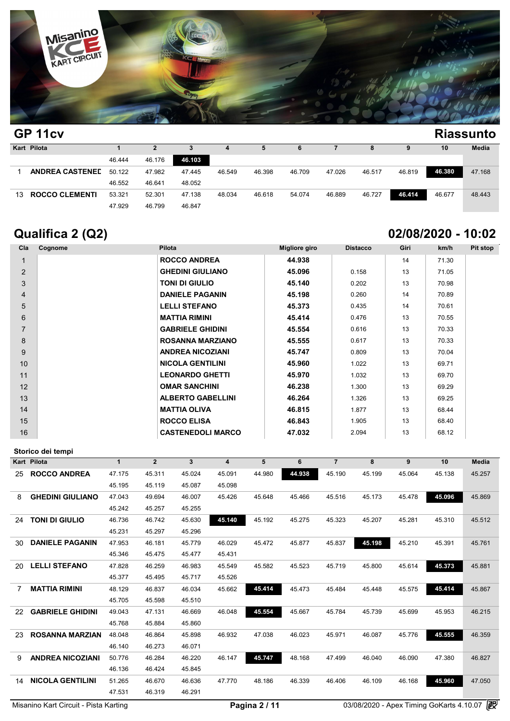

| .<br>GP 11cv |                        |        |        |        |        |        |        |        |        |        | <b>Riassunto</b> |        |  |
|--------------|------------------------|--------|--------|--------|--------|--------|--------|--------|--------|--------|------------------|--------|--|
|              | Kart Pilota            |        | 2      | з      | 4      | 5      | 6      |        | 8      | 9      | 10               | Media  |  |
|              |                        | 46.444 | 46.176 | 46.103 |        |        |        |        |        |        |                  |        |  |
|              | <b>ANDREA CASTENED</b> | 50.122 | 47.982 | 47.445 | 46.549 | 46.398 | 46.709 | 47.026 | 46.517 | 46.819 | 46.380           | 47.168 |  |
|              |                        | 46.552 | 46.641 | 48.052 |        |        |        |        |        |        |                  |        |  |
| 13           | <b>ROCCO CLEMENTI</b>  | 53.321 | 52.301 | 47.138 | 48.034 | 46.618 | 54.074 | 46.889 | 46.727 | 46.414 | 46.677           | 48.443 |  |
|              |                        | 47.929 | 46.799 | 46.847 |        |        |        |        |        |        |                  |        |  |

# **Qualifica 2 (Q2) 02/08/2020 - 10:02**

| Cla            | Cognome | Pilota                   | <b>Migliore giro</b> | <b>Distacco</b> | Giri | km/h  | Pit stop |
|----------------|---------|--------------------------|----------------------|-----------------|------|-------|----------|
|                |         | <b>ROCCO ANDREA</b>      | 44.938               |                 | 14   | 71.30 |          |
| 2              |         | <b>GHEDINI GIULIANO</b>  | 45.096               | 0.158           | 13   | 71.05 |          |
| 3              |         | <b>TONI DI GIULIO</b>    | 45.140               | 0.202           | 13   | 70.98 |          |
| $\overline{4}$ |         | <b>DANIELE PAGANIN</b>   | 45.198               | 0.260           | 14   | 70.89 |          |
| 5              |         | <b>LELLI STEFANO</b>     | 45.373               | 0.435           | 14   | 70.61 |          |
| 6              |         | <b>MATTIA RIMINI</b>     | 45.414               | 0.476           | 13   | 70.55 |          |
| $\overline{7}$ |         | <b>GABRIELE GHIDINI</b>  | 45.554               | 0.616           | 13   | 70.33 |          |
| 8              |         | <b>ROSANNA MARZIANO</b>  | 45.555               | 0.617           | 13   | 70.33 |          |
| 9              |         | <b>ANDREA NICOZIANI</b>  | 45.747               | 0.809           | 13   | 70.04 |          |
| 10             |         | <b>NICOLA GENTILINI</b>  | 45.960               | 1.022           | 13   | 69.71 |          |
| 11             |         | <b>LEONARDO GHETTI</b>   | 45.970               | 1.032           | 13   | 69.70 |          |
| 12             |         | <b>OMAR SANCHINI</b>     | 46.238               | 1.300           | 13   | 69.29 |          |
| 13             |         | <b>ALBERTO GABELLINI</b> | 46.264               | 1.326           | 13   | 69.25 |          |
| 14             |         | <b>MATTIA OLIVA</b>      | 46.815               | 1.877           | 13   | 68.44 |          |
| 15             |         | <b>ROCCO ELISA</b>       | 46.843               | 1.905           | 13   | 68.40 |          |
| 16             |         | <b>CASTENEDOLI MARCO</b> | 47.032               | 2.094           | 13   | 68.12 |          |

|                | Storico dei tempi       |              |                |        |                         |        |        |                |        |        |        |              |
|----------------|-------------------------|--------------|----------------|--------|-------------------------|--------|--------|----------------|--------|--------|--------|--------------|
|                | Kart Pilota             | $\mathbf{1}$ | $\overline{2}$ | 3      | $\overline{\mathbf{4}}$ | 5      | 6      | $\overline{7}$ | 8      | 9      | 10     | <b>Media</b> |
| 25             | <b>ROCCO ANDREA</b>     | 47.175       | 45.311         | 45.024 | 45.091                  | 44.980 | 44.938 | 45.190         | 45.199 | 45.064 | 45.138 | 45.257       |
|                |                         | 45.195       | 45.119         | 45.087 | 45.098                  |        |        |                |        |        |        |              |
| 8              | <b>GHEDINI GIULIANO</b> | 47.043       | 49.694         | 46.007 | 45.426                  | 45.648 | 45.466 | 45.516         | 45.173 | 45.478 | 45.096 | 45.869       |
|                |                         | 45.242       | 45.257         | 45.255 |                         |        |        |                |        |        |        |              |
| 24             | <b>TONI DI GIULIO</b>   | 46.736       | 46.742         | 45.630 | 45.140                  | 45.192 | 45.275 | 45.323         | 45.207 | 45.281 | 45.310 | 45.512       |
|                |                         | 45.231       | 45.297         | 45.296 |                         |        |        |                |        |        |        |              |
| 30             | <b>DANIELE PAGANIN</b>  | 47.953       | 46.181         | 45.779 | 46.029                  | 45.472 | 45.877 | 45.837         | 45.198 | 45.210 | 45.391 | 45.761       |
|                |                         | 45.346       | 45.475         | 45.477 | 45.431                  |        |        |                |        |        |        |              |
| 20             | <b>LELLI STEFANO</b>    | 47.828       | 46.259         | 46.983 | 45.549                  | 45.582 | 45.523 | 45.719         | 45.800 | 45.614 | 45.373 | 45.881       |
|                |                         | 45.377       | 45.495         | 45.717 | 45.526                  |        |        |                |        |        |        |              |
| $\overline{7}$ | <b>MATTIA RIMINI</b>    | 48.129       | 46.837         | 46.034 | 45.662                  | 45.414 | 45.473 | 45.484         | 45.448 | 45.575 | 45.414 | 45.867       |
|                |                         | 45.705       | 45.598         | 45.510 |                         |        |        |                |        |        |        |              |
| 22             | <b>GABRIELE GHIDINI</b> | 49.043       | 47.131         | 46.669 | 46.048                  | 45.554 | 45.667 | 45.784         | 45.739 | 45.699 | 45.953 | 46.215       |
|                |                         | 45.768       | 45.884         | 45.860 |                         |        |        |                |        |        |        |              |
| 23             | <b>ROSANNA MARZIAN</b>  | 48.048       | 46.864         | 45.898 | 46.932                  | 47.038 | 46.023 | 45.971         | 46.087 | 45.776 | 45.555 | 46.359       |
|                |                         | 46.140       | 46.273         | 46.071 |                         |        |        |                |        |        |        |              |
| 9              | <b>ANDREA NICOZIANI</b> | 50.776       | 46.284         | 46.220 | 46.147                  | 45.747 | 48.168 | 47.499         | 46.040 | 46.090 | 47.380 | 46.827       |
|                |                         | 46.136       | 46.424         | 45.845 |                         |        |        |                |        |        |        |              |
| 14             | <b>NICOLA GENTILINI</b> | 51.265       | 46.670         | 46.636 | 47.770                  | 48.186 | 46.339 | 46.406         | 46.109 | 46.168 | 45.960 | 47.050       |
|                |                         | 47.531       | 46.319         | 46.291 |                         |        |        |                |        |        |        |              |
|                |                         |              |                |        |                         | -      |        |                |        |        |        | <b>GR</b>    |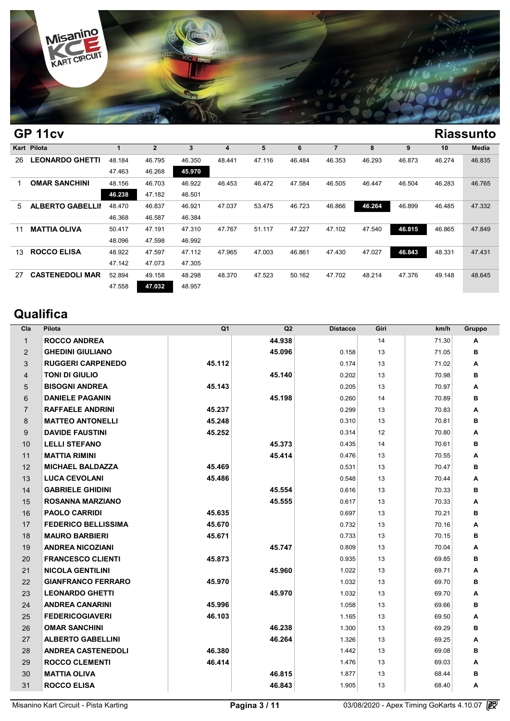

|    | UL IICV                 |        |              |        |        |        |        |        |        |        |        | маээини |
|----|-------------------------|--------|--------------|--------|--------|--------|--------|--------|--------|--------|--------|---------|
|    | Kart Pilota             |        | $\mathbf{2}$ | 3      | 4      | 5      | 6      |        | 8      | 9      | 10     | Media   |
| 26 | <b>LEONARDO GHETTI</b>  | 48.184 | 46.795       | 46.350 | 48.441 | 47.116 | 46.484 | 46.353 | 46.293 | 46.873 | 46.274 | 46.835  |
|    |                         | 47.463 | 46.268       | 45.970 |        |        |        |        |        |        |        |         |
|    | <b>OMAR SANCHINI</b>    | 48.156 | 46.703       | 46.922 | 46.453 | 46.472 | 47.584 | 46.505 | 46.447 | 46.504 | 46.283 | 46.765  |
|    |                         | 46.238 | 47.182       | 46.501 |        |        |        |        |        |        |        |         |
| 5  | <b>ALBERTO GABELLII</b> | 48.470 | 46.837       | 46.921 | 47.037 | 53.475 | 46.723 | 46.866 | 46.264 | 46.899 | 46.485 | 47.332  |
|    |                         | 46.368 | 46.587       | 46.384 |        |        |        |        |        |        |        |         |
| 11 | <b>MATTIA OLIVA</b>     | 50.417 | 47.191       | 47.310 | 47.767 | 51.117 | 47.227 | 47.102 | 47.540 | 46.815 | 46.865 | 47.849  |
|    |                         | 48.096 | 47.598       | 46.992 |        |        |        |        |        |        |        |         |
| 13 | <b>ROCCO ELISA</b>      | 48.922 | 47.597       | 47.112 | 47.965 | 47.003 | 46.861 | 47.430 | 47.027 | 46.843 | 48.331 | 47.431  |
|    |                         | 47.142 | 47.073       | 47.305 |        |        |        |        |        |        |        |         |
| 27 | <b>CASTENEDOLI MAR</b>  | 52.894 | 49.158       | 48.298 | 48.370 | 47.523 | 50.162 | 47.702 | 48.214 | 47.376 | 49.148 | 48.645  |
|    |                         | 47.558 | 47.032       | 48.957 |        |        |        |        |        |        |        |         |
|    |                         |        |              |        |        |        |        |        |        |        |        |         |

# **Qualifica**

| Cla            | Pilota                     | Q <sub>1</sub> | Q2     | <b>Distacco</b> | Giri | km/h  | Gruppo |
|----------------|----------------------------|----------------|--------|-----------------|------|-------|--------|
| $\mathbf{1}$   | <b>ROCCO ANDREA</b>        |                | 44.938 |                 | 14   | 71.30 | A      |
| 2              | <b>GHEDINI GIULIANO</b>    |                | 45.096 | 0.158           | 13   | 71.05 | в      |
| 3              | <b>RUGGERI CARPENEDO</b>   | 45.112         |        | 0.174           | 13   | 71.02 | A      |
| 4              | <b>TONI DI GIULIO</b>      |                | 45.140 | 0.202           | 13   | 70.98 | в      |
| 5              | <b>BISOGNI ANDREA</b>      | 45.143         |        | 0.205           | 13   | 70.97 | A      |
| 6              | <b>DANIELE PAGANIN</b>     |                | 45.198 | 0.260           | 14   | 70.89 | в      |
| $\overline{7}$ | <b>RAFFAELE ANDRINI</b>    | 45.237         |        | 0.299           | 13   | 70.83 | A      |
| 8              | <b>MATTEO ANTONELLI</b>    | 45.248         |        | 0.310           | 13   | 70.81 | в      |
| 9              | <b>DAVIDE FAUSTINI</b>     | 45.252         |        | 0.314           | 12   | 70.80 | A      |
| 10             | <b>LELLI STEFANO</b>       |                | 45.373 | 0.435           | 14   | 70.61 | в      |
| 11             | <b>MATTIA RIMINI</b>       |                | 45.414 | 0.476           | 13   | 70.55 | A      |
| 12             | <b>MICHAEL BALDAZZA</b>    | 45.469         |        | 0.531           | 13   | 70.47 | в      |
| 13             | <b>LUCA CEVOLANI</b>       | 45.486         |        | 0.548           | 13   | 70.44 | Α      |
| 14             | <b>GABRIELE GHIDINI</b>    |                | 45.554 | 0.616           | 13   | 70.33 | в      |
| 15             | <b>ROSANNA MARZIANO</b>    |                | 45.555 | 0.617           | 13   | 70.33 | A      |
| 16             | <b>PAOLO CARRIDI</b>       | 45.635         |        | 0.697           | 13   | 70.21 | в      |
| 17             | <b>FEDERICO BELLISSIMA</b> | 45.670         |        | 0.732           | 13   | 70.16 | Α      |
| 18             | <b>MAURO BARBIERI</b>      | 45.671         |        | 0.733           | 13   | 70.15 | в      |
| 19             | <b>ANDREA NICOZIANI</b>    |                | 45.747 | 0.809           | 13   | 70.04 | A      |
| 20             | <b>FRANCESCO CLIENTI</b>   | 45.873         |        | 0.935           | 13   | 69.85 | в      |
| 21             | <b>NICOLA GENTILINI</b>    |                | 45.960 | 1.022           | 13   | 69.71 | Α      |
| 22             | <b>GIANFRANCO FERRARO</b>  | 45.970         |        | 1.032           | 13   | 69.70 | в      |
| 23             | <b>LEONARDO GHETTI</b>     |                | 45.970 | 1.032           | 13   | 69.70 | A      |
| 24             | <b>ANDREA CANARINI</b>     | 45.996         |        | 1.058           | 13   | 69.66 | в      |
| 25             | <b>FEDERICOGIAVERI</b>     | 46.103         |        | 1.165           | 13   | 69.50 | A      |
| 26             | <b>OMAR SANCHINI</b>       |                | 46.238 | 1.300           | 13   | 69.29 | в      |
| 27             | <b>ALBERTO GABELLINI</b>   |                | 46.264 | 1.326           | 13   | 69.25 | Α      |
| 28             | <b>ANDREA CASTENEDOLI</b>  | 46.380         |        | 1.442           | 13   | 69.08 | в      |
| 29             | <b>ROCCO CLEMENTI</b>      | 46.414         |        | 1.476           | 13   | 69.03 | Α      |
| 30             | <b>MATTIA OLIVA</b>        |                | 46.815 | 1.877           | 13   | 68.44 | в      |
| 31             | <b>ROCCO ELISA</b>         |                | 46.843 | 1.905           | 13   | 68.40 | A      |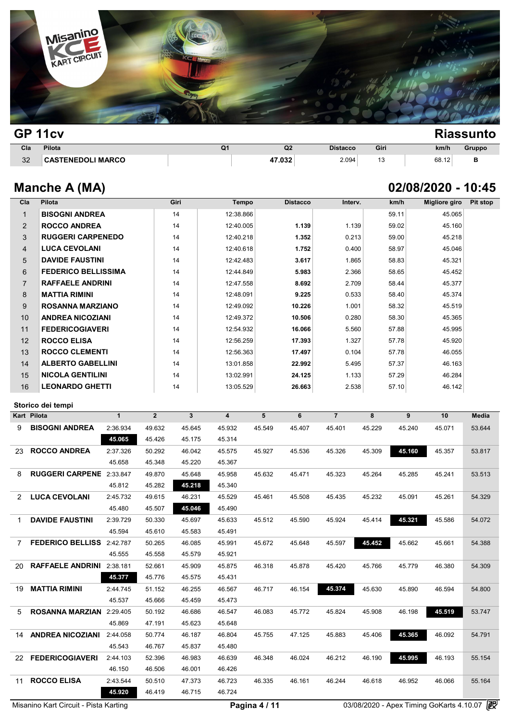

| GP 11cv |                          |                |                |                 |      |       | <b>Riassunto</b> |
|---------|--------------------------|----------------|----------------|-----------------|------|-------|------------------|
| Cla     | Pilota                   | Q <sub>1</sub> | Q <sub>2</sub> | <b>Distacco</b> | Giri | km/h  | Gruppo           |
| 32      | <b>CASTENEDOLI MARCO</b> |                | 47.032         | 2.094           | 13   | 68.12 | в                |

# **Manche A (MA) 02/08/2020 - 10:45**

| Cla            | Pilota                          |              |                | Giri         | <b>Tempo</b>   |        | <b>Distacco</b> | Interv.        |        | km/h             | <b>Migliore giro</b> | <b>Pit stop</b> |
|----------------|---------------------------------|--------------|----------------|--------------|----------------|--------|-----------------|----------------|--------|------------------|----------------------|-----------------|
| $\mathbf{1}$   | <b>BISOGNI ANDREA</b>           |              |                | 14           | 12:38.866      |        |                 |                |        | 59.11            | 45.065               |                 |
| $\overline{2}$ | <b>ROCCO ANDREA</b>             |              |                | 14           | 12:40.005      |        | 1.139           | 1.139          |        | 59.02            | 45.160               |                 |
| 3              | <b>RUGGERI CARPENEDO</b>        |              |                | 14           | 12:40.218      |        | 1.352           | 0.213          |        | 59.00            | 45.218               |                 |
| $\overline{4}$ | <b>LUCA CEVOLANI</b>            |              |                | 14           | 12:40.618      |        | 1.752           | 0.400          |        | 58.97            | 45.046               |                 |
| 5              | <b>DAVIDE FAUSTINI</b>          |              |                | 14           | 12:42.483      |        | 3.617           | 1.865          |        | 58.83            | 45.321               |                 |
| 6              | <b>FEDERICO BELLISSIMA</b>      |              |                | 14           | 12:44.849      |        | 5.983           | 2.366          |        | 58.65            | 45.452               |                 |
| $\overline{7}$ | <b>RAFFAELE ANDRINI</b>         |              |                | 14           | 12:47.558      |        | 8.692           | 2.709          |        | 58.44            | 45.377               |                 |
| 8              | <b>MATTIA RIMINI</b>            |              |                | 14           | 12:48.091      |        | 9.225           | 0.533          |        | 58.40            | 45.374               |                 |
| 9              | <b>ROSANNA MARZIANO</b>         |              |                | 14           | 12:49.092      |        | 10.226          | 1.001          |        | 58.32            | 45.519               |                 |
| 10             | <b>ANDREA NICOZIANI</b>         |              |                | 14           | 12:49.372      |        | 10.506          | 0.280          |        | 58.30            | 45.365               |                 |
| 11             | <b>FEDERICOGIAVERI</b>          |              |                | 14           | 12:54.932      |        | 16.066          | 5.560          |        | 57.88            | 45.995               |                 |
| 12             | <b>ROCCO ELISA</b>              |              |                | 14           | 12:56.259      |        | 17.393          | 1.327          |        | 57.78            | 45.920               |                 |
| 13             | <b>ROCCO CLEMENTI</b>           |              |                | 14           | 12:56.363      |        | 17.497          | 0.104          |        | 57.78            | 46.055               |                 |
| 14             | <b>ALBERTO GABELLINI</b>        |              |                | 14           | 13:01.858      |        | 22.992          | 5.495          |        | 57.37            | 46.163               |                 |
| 15             | <b>NICOLA GENTILINI</b>         |              |                | 14           | 13:02.991      |        | 24.125          | 1.133          |        | 57.29            | 46.284               |                 |
| 16             | <b>LEONARDO GHETTI</b>          |              |                | 14           | 13:05.529      |        | 26.663          | 2.538          |        | 57.10            | 46.142               |                 |
|                | Storico dei tempi               |              |                |              |                |        |                 |                |        |                  |                      |                 |
| Kart Pilota    |                                 | $\mathbf{1}$ | $\overline{2}$ | $\mathbf{3}$ | $\overline{4}$ | 5      | 6               | $\overline{7}$ | 8      | $\boldsymbol{9}$ | 10                   | Media           |
| 9              | <b>BISOGNI ANDREA</b>           | 2:36.934     | 49.632         | 45.645       | 45.932         | 45.549 | 45.407          | 45.401         | 45.229 | 45.240           | 45.071               | 53.644          |
|                |                                 | 45.065       | 45.426         | 45.175       | 45.314         |        |                 |                |        |                  |                      |                 |
| 23             | <b>ROCCO ANDREA</b>             | 2:37.326     | 50.292         | 46.042       | 45.575         | 45.927 | 45.536          | 45.326         | 45.309 | 45.160           | 45.357               | 53.817          |
|                |                                 | 45.658       | 45.348         | 45.220       | 45.367         |        |                 |                |        |                  |                      |                 |
| 8              | RUGGERI CARPENE 2:33.847        |              | 49.870         | 45.648       | 45.958         | 45.632 | 45.471          | 45.323         | 45.264 | 45.285           | 45.241               | 53.513          |
|                |                                 | 45.812       | 45.282         | 45.218       | 45.340         |        |                 |                |        |                  |                      |                 |
| 2              | <b>LUCA CEVOLANI</b>            | 2:45.732     | 49.615         | 46.231       | 45.529         | 45.461 | 45.508          | 45.435         | 45.232 | 45.091           | 45.261               | 54.329          |
|                |                                 | 45.480       | 45.507         | 45.046       | 45.490         |        |                 |                |        |                  |                      |                 |
| $\mathbf 1$    | <b>DAVIDE FAUSTINI</b>          | 2:39.729     | 50.330         | 45.697       | 45.633         | 45.512 | 45.590          | 45.924         | 45.414 | 45.321           | 45.586               | 54.072          |
|                |                                 | 45.594       | 45.610         | 45.583       | 45.491         |        |                 |                |        |                  |                      |                 |
| $7^{\circ}$    | FEDERICO BELLISS 2:42.787       |              | 50.265         | 46.085       | 45.991         | 45.672 | 45.648          | 45.597         | 45.452 | 45.662           | 45.661               | 54.388          |
|                |                                 | 45.555       | 45.558         | 45.579       | 45.921         |        |                 |                |        |                  |                      |                 |
| 20             | RAFFAELE ANDRINI 2:38.181       |              | 52.661         | 45.909       | 45.875         | 46.318 | 45.878          | 45.420         | 45.766 | 45.779           | 46.380               | 54.309          |
|                |                                 | 45.377       | 45.776         | 45.575       | 45.431         |        |                 |                |        |                  |                      |                 |
|                | 19 <b>MATTIA RIMINI</b>         | 2:44.745     | 51.152         | 46.255       | 46.567         | 46.717 | 46.154          | 45.374         | 45.630 | 45.890           | 46.594               | 54.800          |
|                |                                 | 45.537       | 45.666         | 45.459       | 45.473         |        |                 |                |        |                  |                      |                 |
| 5              | <b>ROSANNA MARZIAN</b> 2:29.405 |              | 50.192         | 46.686       | 46.547         | 46.083 | 45.772          | 45.824         | 45.908 | 46.198           | 45.519               | 53.747          |
|                |                                 | 45.869       | 47.191         | 45.623       | 45.648         |        |                 |                |        |                  |                      |                 |
|                | 14 ANDREA NICOZIANI             | 2:44.058     | 50.774         | 46.187       | 46.804         | 45.755 | 47.125          | 45.883         | 45.406 | 45.365           | 46.092               | 54.791          |
|                |                                 | 45.543       | 46.767         | 45.837       | 45.480         |        |                 |                |        |                  |                      |                 |
|                | 22 FEDERICOGIAVERI              | 2:44.103     | 52.396         | 46.983       | 46.639         | 46.348 | 46.024          | 46.212         | 46.190 | 45.995           | 46.193               | 55.154          |
|                |                                 | 46.150       | 46.506         | 46.001       | 46.426         |        |                 |                |        |                  |                      |                 |
|                | 11 ROCCO ELISA                  | 2:43.544     | 50.510         | 47.373       | 46.723         | 46.335 | 46.161          | 46.244         | 46.618 | 46.952           | 46.066               | 55.164          |
|                |                                 | 45.920       | 46.419         | 46.715       | 46.724         |        |                 |                |        |                  |                      |                 |
|                |                                 |              |                |              |                |        |                 |                |        |                  |                      |                 |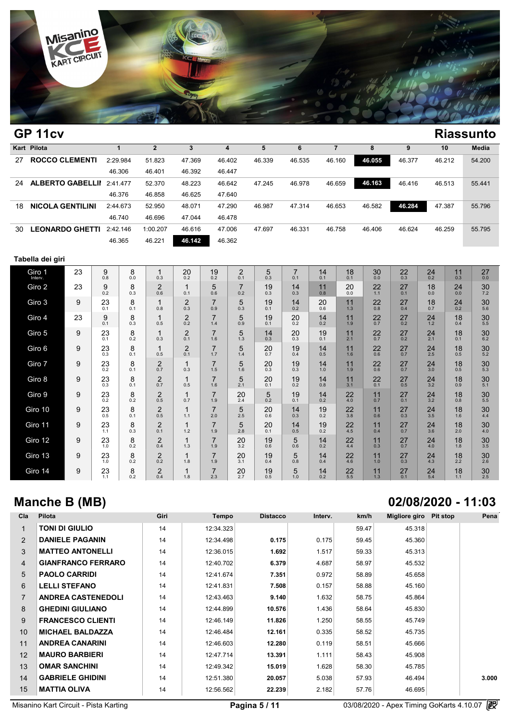

|    | GP 11cv                          |          |          |        |        |        |        |        |        |        |        | <b>Riassunto</b> |
|----|----------------------------------|----------|----------|--------|--------|--------|--------|--------|--------|--------|--------|------------------|
|    | Kart Pilota                      |          |          |        | 4      | ь      | 6      |        | 8      | 9      | 10     | Media            |
| 27 | <b>ROCCO CLEMENTI</b>            | 2:29.984 | 51.823   | 47.369 | 46.402 | 46.339 | 46.535 | 46.160 | 46.055 | 46.377 | 46.212 | 54.200           |
|    |                                  | 46.306   | 46.401   | 46.392 | 46.447 |        |        |        |        |        |        |                  |
| 24 | <b>ALBERTO GABELLII</b> 2:41.477 |          | 52.370   | 48.223 | 46.642 | 47.245 | 46.978 | 46.659 | 46.163 | 46.416 | 46.513 | 55.441           |
|    |                                  | 46.376   | 46.858   | 46.625 | 47.640 |        |        |        |        |        |        |                  |
| 18 | <b>NICOLA GENTILINI</b>          | 2:44.673 | 52.950   | 48.071 | 47.290 | 46.987 | 47.314 | 46.653 | 46.582 | 46.284 | 47.387 | 55.796           |
|    |                                  | 46.740   | 46.696   | 47.044 | 46.478 |        |        |        |        |        |        |                  |
| 30 | <b>LEONARDO GHETTI</b>           | 2:42.146 | 1:00.207 | 46.616 | 47.006 | 47.697 | 46.331 | 46.758 | 46.406 | 46.624 | 46.259 | 55.795           |
|    |                                  | 46.365   | 46.221   | 46.142 | 46.362 |        |        |        |        |        |        |                  |
|    |                                  |          |          |        |        |        |        |        |        |        |        |                  |

### **Tabella dei giri**

| Giro 1<br>Interv. | 23 | 9<br>0.8  | 8<br>0.0 | $\overline{ }$<br>0.3          | 20<br>0.2                      | 19<br>0.2             | $\overline{2}$<br>0.1 | 5<br>0.3  | $\overline{7}$<br>0.1 | 14<br>0.1 | 18<br>0.1 | 30<br>0.0 | 22<br>0.3 | 24<br>0.2        | 11<br>0.3 | 27<br>0.0     |  |
|-------------------|----|-----------|----------|--------------------------------|--------------------------------|-----------------------|-----------------------|-----------|-----------------------|-----------|-----------|-----------|-----------|------------------|-----------|---------------|--|
| Giro 2            | 23 | 9<br>0.2  | 8<br>0.3 | $\overline{2}$<br>0.6          | $\overline{\mathbf{A}}$<br>0.1 | 5<br>0.6              | $\overline{7}$<br>0.2 | 19<br>0.3 | 14<br>0.3             | 11<br>0.8 | 20<br>0.0 | 22<br>1.1 | 27<br>0.1 | 18<br>0.0        | 24<br>0.0 | 30<br>7.2     |  |
| Giro 3            | 9  | 23<br>0.1 | 8<br>0.1 | $\overline{\mathbf{A}}$<br>0.8 | $\overline{2}$<br>0.3          | $\overline{7}$<br>0.9 | 5<br>0.3              | 19<br>0.1 | 14<br>0.2             | 20<br>0.6 | 11<br>1.3 | 22<br>0.8 | 27<br>0.4 | 18<br>0.7        | 24<br>0.2 | 30<br>5.6     |  |
| Giro 4            | 23 | 9<br>0.1  | 8<br>0.3 | 0.5                            | 2<br>0.2                       | $\overline{7}$<br>1.4 | 5<br>0.9              | 19<br>0.1 | 20<br>0.2             | 14<br>0.2 | 11<br>1.9 | 22<br>0.7 | 27<br>0.2 | 24<br>1.2        | 18<br>0.4 | 30<br>5.5     |  |
| Giro 5            | 9  | 23<br>0.1 | 8<br>0.2 | 0.3                            | 2<br>0.1                       | $\overline{7}$<br>1.6 | 5<br>1.3              | 14<br>0.3 | 20<br>0.3             | 19<br>0.1 | 11<br>2.1 | 22<br>0.7 | 27<br>0.2 | 24<br>2.1        | 18<br>0.1 | 30<br>6.2     |  |
| Giro 6            | 9  | 23<br>0.3 | 8<br>0.1 | 0.5                            | 2<br>0.1                       | $\overline{7}$<br>1.7 | 5<br>1.4              | 20<br>0.7 | 19<br>0.4             | 14<br>0.5 | 11<br>1.6 | 22<br>0.6 | 27<br>0.7 | 24<br>2.5        | 18<br>0.5 | 30<br>5.2     |  |
| Giro 7            | 9  | 23<br>0.2 | 8<br>0.1 | $\overline{2}$<br>0.7          | 0.3                            | $\overline{7}$<br>1.5 | 5<br>1.6              | 20<br>0.3 | 19<br>0.3             | 14<br>1.0 | 11<br>1.9 | 22<br>0.6 | 27<br>0.7 | 24<br>3.0        | 18<br>0.5 | 30<br>5.3     |  |
| Giro 8            | 9  | 23<br>0.3 | 8<br>0.1 | 2<br>0.7                       | 0.5                            | $\overline{7}$<br>1.6 | 5<br>2.1              | 20<br>0.1 | 19<br>0.2             | 14<br>0.8 | 11<br>3.1 | 22<br>0.1 | 27<br>0.5 | 24<br>3.2        | 18<br>0.9 | 30<br>5.1     |  |
| Giro 9            | 9  | 23<br>0.2 | 8<br>0.2 | $\overline{c}$<br>0.5          | 0.7                            | $\overline{7}$<br>1.9 | 20<br>2.4             | 5<br>0.2  | 19<br>0.1             | 14<br>0.2 | 22<br>4.0 | 11<br>0.7 | 27<br>0.1 | $\frac{24}{3.2}$ | 18<br>0.8 | $30$<br>$5.5$ |  |
| Giro 10           | 9  | 23<br>0.5 | 8<br>0.1 | 2<br>0.5                       | 1.1                            | $\overline{7}$<br>2.0 | 5<br>2.5              | 20<br>0.6 | 14<br>0.3             | 19<br>0.2 | 22<br>3.8 | 11<br>0.6 | 27<br>0.3 | 24<br>3.5        | 18<br>1.6 | 30<br>4.4     |  |
| Giro 11           | 9  | 23<br>1.1 | 8<br>0.3 | $\overline{2}$<br>0.1          | 1.2                            | $\overline{7}$<br>1.9 | 5<br>2.8              | 20<br>0.1 | 14<br>0.5             | 19<br>0.2 | 22<br>4.5 | 11<br>0.4 | 27<br>0.7 | 24<br>3.6        | 18<br>2.0 | 30<br>4.0     |  |
| Giro 12           | 9  | 23<br>1.0 | 8<br>0.2 | $\overline{2}$<br>0.4          | 1.3                            | $\overline{7}$<br>1.9 | 20<br>3.2             | 19<br>0.6 | 5<br>0.6              | 14<br>0.2 | 22<br>4.4 | 11<br>0.3 | 27<br>0.7 | 24<br>4.0        | 18<br>1.8 | $30\n3.5$     |  |
| Giro 13           | 9  | 23<br>1.0 | 8<br>0.2 | 2<br>0.2                       | 1.8                            | $\overline{7}$<br>1.9 | 20<br>3.1             | 19<br>0.4 | 5<br>0.8              | 14<br>0.4 | 22<br>4.6 | 11<br>1.0 | 27<br>0.3 | 24<br>4.3        | 18<br>2.2 | 30<br>2.6     |  |
| Giro 14           | 9  | 23<br>1.1 | 8<br>0.2 | $\overline{2}$<br>0.4          | 1.8                            | $\overline{7}$<br>2.3 | 20<br>2.7             | 19<br>0.5 | 5<br>1.0              | 14<br>0.2 | 22<br>5.5 | 11<br>1.3 | 27<br>0.1 | 24<br>5.4        | 18<br>1.1 | 30<br>2.5     |  |

# **Manche B (MB)**

| Cla            | Pilota                    | Giri | Tempo     | <b>Distacco</b> | Interv. | km/h  | Migliore giro | Pit stop | Pena  |
|----------------|---------------------------|------|-----------|-----------------|---------|-------|---------------|----------|-------|
| 1              | <b>TONI DI GIULIO</b>     | 14   | 12:34.323 |                 |         | 59.47 | 45.318        |          |       |
| $\overline{2}$ | <b>DANIELE PAGANIN</b>    | 14   | 12:34.498 | 0.175           | 0.175   | 59.45 | 45.360        |          |       |
| 3              | <b>MATTEO ANTONELLI</b>   | 14   | 12:36.015 | 1.692           | 1.517   | 59.33 | 45.313        |          |       |
| $\overline{4}$ | <b>GIANFRANCO FERRARO</b> | 14   | 12:40.702 | 6.379           | 4.687   | 58.97 | 45.532        |          |       |
| 5              | <b>PAOLO CARRIDI</b>      | 14   | 12:41.674 | 7.351           | 0.972   | 58.89 | 45.658        |          |       |
| 6              | <b>LELLI STEFANO</b>      | 14   | 12:41.831 | 7.508           | 0.157   | 58.88 | 45.160        |          |       |
| 7              | <b>ANDREA CASTENEDOLI</b> | 14   | 12:43.463 | 9.140           | 1.632   | 58.75 | 45.864        |          |       |
| 8              | <b>GHEDINI GIULIANO</b>   | 14   | 12:44.899 | 10.576          | 1.436   | 58.64 | 45.830        |          |       |
| 9              | <b>FRANCESCO CLIENTI</b>  | 14   | 12:46.149 | 11.826          | 1.250   | 58.55 | 45.749        |          |       |
| 10             | <b>MICHAEL BALDAZZA</b>   | 14   | 12:46.484 | 12.161          | 0.335   | 58.52 | 45.735        |          |       |
| 11             | <b>ANDREA CANARINI</b>    | 14   | 12:46.603 | 12.280          | 0.119   | 58.51 | 45.666        |          |       |
| 12             | <b>MAURO BARBIERI</b>     | 14   | 12:47.714 | 13.391          | 1.111   | 58.43 | 45.908        |          |       |
| 13             | <b>OMAR SANCHINI</b>      | 14   | 12:49.342 | 15.019          | 1.628   | 58.30 | 45.785        |          |       |
| 14             | <b>GABRIELE GHIDINI</b>   | 14   | 12:51.380 | 20.057          | 5.038   | 57.93 | 46.494        |          | 3.000 |
| 15             | <b>MATTIA OLIVA</b>       | 14   | 12:56.562 | 22.239          | 2.182   | 57.76 | 46.695        |          |       |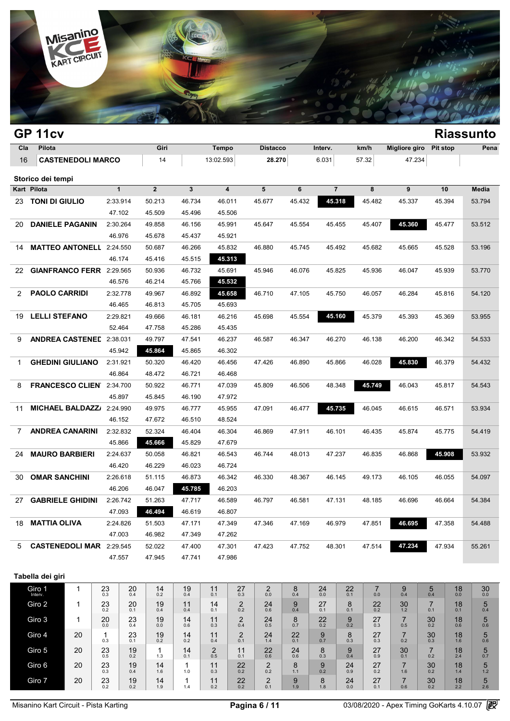

|     | GP 11cv                                    |                          |               |                     |                     |                            |                       |                       |                                   |           |                  |                               |                       |                       |           | <b>Riassunto</b> |
|-----|--------------------------------------------|--------------------------|---------------|---------------------|---------------------|----------------------------|-----------------------|-----------------------|-----------------------------------|-----------|------------------|-------------------------------|-----------------------|-----------------------|-----------|------------------|
| Cla | Pilota                                     |                          |               |                     | Giri                |                            | Tempo                 |                       | <b>Distacco</b>                   |           | Interv.          | km/h                          | <b>Migliore giro</b>  | <b>Pit stop</b>       |           | Pena             |
| 16  |                                            | <b>CASTENEDOLI MARCO</b> |               |                     | 14                  |                            | 13:02.593             |                       | 28.270                            |           | 6.031            | 57.32                         | 47.234                |                       |           |                  |
|     | Storico dei tempi                          |                          |               |                     |                     |                            |                       |                       |                                   |           |                  |                               |                       |                       |           |                  |
|     | Kart Pilota                                |                          |               | $\mathbf{1}$        | $\overline{2}$      | 3                          |                       | 4                     | 5                                 | 6         | $\overline{7}$   | 8                             | 9                     | 10                    |           | Media            |
|     | 23 TONI DI GIULIO                          |                          |               | 2:33.914            | 50.213              | 46.734                     |                       | 46.011                | 45.677                            | 45.432    | 45.318           | 45.482                        | 45.337                | 45.394                |           | 53.794           |
|     |                                            |                          |               | 47.102              | 45.509              | 45.496                     |                       | 45.506                |                                   |           |                  |                               |                       |                       |           |                  |
| 20  | <b>DANIELE PAGANIN</b>                     |                          |               | 2:30.264            | 49.858              | 46.156                     |                       | 45.991                | 45.647                            | 45.554    | 45.455           | 45.407                        | 45.360                | 45.477                |           | 53.512           |
|     |                                            |                          |               | 46.976              | 45.678              | 45.437                     |                       | 45.921                |                                   |           |                  |                               |                       |                       |           |                  |
| 14  | <b>MATTEO ANTONELL 2:24.550</b>            |                          |               |                     | 50.687              | 46.266                     |                       | 45.832                | 46.880                            | 45.745    | 45.492           | 45.682                        | 45.665                | 45.528                |           | 53.196           |
|     |                                            |                          |               | 46.174              | 45.416              | 45.515                     |                       | 45.313                |                                   |           |                  |                               |                       |                       |           |                  |
| 22  | GIANFRANCO FERR 2:29.565                   |                          |               |                     | 50.936              | 46.732                     |                       | 45.691                | 45.946                            | 46.076    | 45.825           | 45.936                        | 46.047                | 45.939                |           | 53.770           |
|     |                                            |                          |               | 46.576              | 46.214              | 45.766                     |                       | 45.532                |                                   |           |                  |                               |                       |                       |           |                  |
| 2   | <b>PAOLO CARRIDI</b>                       |                          |               | 2:32.778            | 49.967              | 46.892                     |                       | 45.658                | 46.710                            | 47.105    | 45.750           | 46.057                        | 46.284                | 45.816                |           | 54.120           |
|     |                                            |                          |               | 46.465              | 46.813<br>49.666    | 45.705                     |                       | 45.693                |                                   |           | 45.160<br>45.554 |                               |                       |                       |           |                  |
| 19  | <b>LELLI STEFANO</b><br>2:29.821<br>52.464 |                          |               | 47.758              | 46.181<br>45.286    |                            | 46.216                | 45.698                |                                   |           | 45.379           | 45.393                        | 45.369                |                       | 53.955    |                  |
| 9   | <b>ANDREA CASTENED</b><br>2:38.031         |                          |               | 49.797              |                     | 45.435<br>47.541<br>46.237 |                       | 46.587                | 46.347                            | 46.270    | 46.138           | 46.200                        | 46.342                |                       | 54.533    |                  |
|     | 45.942                                     |                          |               | 45.864              | 45.865              | 46.302                     |                       |                       |                                   |           |                  |                               |                       |                       |           |                  |
| 1   | <b>GHEDINI GIULIANO</b><br>2:31.921        |                          |               | 50.320              | 46.420              | 46.456                     |                       | 47.426                | 46.890                            | 45.866    | 46.028           | 45.830                        | 46.379                |                       | 54.432    |                  |
|     | 46.864                                     |                          |               | 48.472              | 46.721              |                            | 46.468                |                       |                                   |           |                  |                               |                       |                       |           |                  |
| 8   | FRANCESCO CLIEN 2:34.700                   |                          |               | 50.922              | 46.771              |                            | 47.039                | 45.809                | 46.506                            | 48.348    | 45.749           | 46.043                        | 45.817                |                       | 54.543    |                  |
|     |                                            |                          |               | 45.897              | 45.845              | 46.190                     |                       | 47.972                |                                   |           |                  |                               |                       |                       |           |                  |
| 11  | <b>MICHAEL BALDAZZ/</b>                    |                          |               | 2:24.990            | 49.975              | 46.777                     |                       | 45.955                | 47.091                            | 46.477    | 45.735           | 46.045                        | 46.615                | 46.571                |           | 53.934           |
|     |                                            |                          |               | 46.152              | 47.672              | 46.510                     |                       | 48.524                |                                   |           |                  |                               |                       |                       |           |                  |
| 7   | <b>ANDREA CANARINI</b>                     |                          |               | 2:32.832            | 52.324              | 46.404                     |                       | 46.304                | 46.869                            | 47.911    | 46.101           | 46.435                        | 45.874                | 45.775                |           | 54.419           |
|     |                                            |                          |               | 45.866              | 45.666              | 45.829                     |                       | 47.679                |                                   |           |                  |                               |                       |                       |           |                  |
| 24  | <b>MAURO BARBIERI</b>                      |                          |               | 2:24.637            | 50.058              | 46.821                     |                       | 46.543                | 46.744<br>48.013                  |           | 47.237           | 46.835                        | 46.868                | 45.908                |           | 53.932           |
|     |                                            |                          |               | 46.420              | 46.229              | 46.023                     |                       | 46.724                |                                   |           |                  |                               |                       |                       |           |                  |
| 30  | <b>OMAR SANCHINI</b>                       |                          |               | 2:26.618<br>46.206  | 51.115<br>46.047    | 46.873<br>45.785           |                       | 46.342<br>46.203      | 46.330                            | 48.367    | 46.145           | 49.173                        | 46.105                | 46.055                |           | 54.097           |
| 27  | <b>GABRIELE GHIDINI</b>                    |                          |               | 2:26.742            | 51.263              | 47.717                     |                       | 46.589                | 46.797                            | 46.581    | 47.131           | 48.185                        | 46.696                | 46.664                |           | 54.384           |
|     |                                            |                          |               | 47.093              | 46.494              | 46.619                     |                       | 46.807                |                                   |           |                  |                               |                       |                       |           |                  |
|     | 18 MATTIA OLIVA                            |                          |               | 2:24.826            | 51.503              | 47.171                     |                       | 47.349                | 47.346                            | 47.169    | 46.979           | 47.851                        | 46.695                | 47.358                |           | 54.488           |
|     |                                            |                          |               | 47.003              | 46.982              | 47.349                     |                       | 47.262                |                                   |           |                  |                               |                       |                       |           |                  |
|     | 5 CASTENEDOLI MAR 2:29.545                 |                          |               |                     | 52.022              | 47.400                     |                       | 47.301                | 47.423                            | 47.752    | 48.301           | 47.514                        | 47.234                | 47.934                |           | 55.261           |
|     |                                            |                          |               | 47.557              | 47.945              | 47.741                     |                       | 47.986                |                                   |           |                  |                               |                       |                       |           |                  |
|     |                                            |                          |               |                     |                     |                            |                       |                       |                                   |           |                  |                               |                       |                       |           |                  |
|     | Tabella dei giri                           |                          |               |                     |                     |                            |                       |                       |                                   |           |                  |                               |                       |                       |           |                  |
|     | Giro 1<br>Interv.                          | $\mathbf{1}$             | $^{23}_{0.3}$ | $^{20}_{0.4}$       | 14<br>0.2           | 19<br>0.4                  | 11<br>0.1             | $\mathop{27}_{0.3}$   | $^{\,2}_{\scriptscriptstyle 0.0}$ | 8<br>0.4  | $^{24}_{0.0}$    | $^{22}_{0.1}$<br>7<br>$0.0\,$ | 9<br>0.4              | $\frac{5}{0.4}$       | 18<br>0.0 | 30<br>$0.0\,$    |
|     | Giro 2                                     | 1                        | 23<br>0.2     | 20<br>0.1           | 19<br>0.4           | 11<br>0.4                  | 14<br>0.1             | $\overline{2}$<br>0.2 | 24<br>0.6                         | 9<br>0.4  | 27<br>0.1        | 8<br>22<br>0.2<br>0.1         | 30<br>$1.2$           | $\overline{7}$<br>0.1 | 18<br>0.1 | 5<br>0.4         |
|     | Giro 3                                     | 1                        | 20<br>$0.0\,$ | $^{23}_{0.4}$       | 19<br>$0.0\,$       | 14<br>0.6                  | 11<br>0.3             | $_{0.4}^{2}$          | $^{24}_{0.5}$                     | 8<br>0.7  | 22<br>0.2        | 9<br>27<br>0.2<br>0.3         | $\overline{7}$<br>0.5 | 30<br>0.2             | 18<br>0.6 | 5<br>0.6         |
|     | Giro 4                                     | 20                       | 1             | $23$ <sub>0.1</sub> | 19                  | 14                         | 11                    | $^{2}_{0.1}$          | $^{24}_{1.4}$                     | 22        | 9                | 27<br>8                       | $\overline{7}$        | 30                    | 18        | 5                |
|     |                                            |                          | 0.3           | 19                  | 0.2<br>$\mathbf{1}$ | 0.2<br>14                  | 0.4<br>$\overline{2}$ | 11                    | 22                                | 0.1<br>24 | 0.7<br>8         | 0.3<br>0.3                    | 0.2<br>30             | 0.3<br>$\overline{7}$ | 1.6<br>18 | 0.6              |
|     | Giro 5                                     | 20                       | 23<br>0.5     | 0.2                 | 1.3                 | 0.1                        | 0.5                   | 0.1                   | 0.6                               | 0.6       | 0.3              | 9<br>27<br>0.4<br>0.9         | 0.1                   | 0.2                   | 2.4       | 5<br>0.7         |
|     | Giro 6                                     | 20                       | 23<br>0.3     | 19<br>0.4           | 14<br>1.6           | 1<br>1.0                   | 11<br>0.3             | 22<br>0.2             | $\overline{2}$<br>0.2             | 8<br>1.1  | 9<br>0.2         | 27<br>24<br>0.9<br>0.2        | $\overline{7}$<br>1.6 | 30<br>0.2             | 18<br>1.4 | 5<br>1.2         |
|     | Giro 7                                     | 20                       | 23<br>0.2     | 19<br>0.2           | 14<br>1.9           | 1<br>1.4                   | 11<br>0.2             | 22<br>0.2             | $\boldsymbol{2}$<br>0.1           | 9<br>1.9  | 8<br>1.8         | 24<br>27<br>$0.0\,$<br>0.1    | $\overline{7}$<br>0.6 | 30<br>0.2             | 18<br>2.2 | 5<br>2.6         |
|     |                                            |                          |               |                     |                     |                            |                       |                       |                                   |           |                  |                               |                       |                       |           |                  |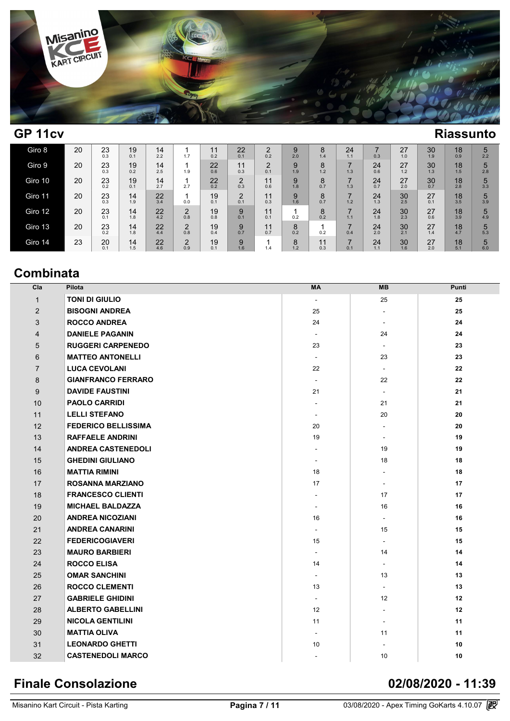

## **GP 11cv Riassunto**

| Giro 8  | 20 | 23<br>0.3 | 19<br>0.1 | 14<br>2.2 | 1.7           | 0.2       | 22<br>0.1     | C<br>∠<br>0.2 | 9<br>2.0 | 8<br>1.4  | 24<br>1.1 | 0.3       | 27<br>1.0 | 30<br>1.9 | 18<br>0.9        | 5<br>2.2 |
|---------|----|-----------|-----------|-----------|---------------|-----------|---------------|---------------|----------|-----------|-----------|-----------|-----------|-----------|------------------|----------|
| Giro 9  | 20 | 23<br>0.3 | 19<br>0.2 | 14<br>2.5 | 1.9           | 22<br>0.6 | 11<br>0.3     | C<br>∠<br>0.1 | 9<br>1.9 | 8<br>1.2  | 1.3       | 24<br>0.6 | 27<br>1.2 | 30<br>1.3 | 18<br>1.5        | 5<br>2.8 |
| Giro 10 | 20 | 23<br>0.2 | 19<br>0.1 | 14<br>2.7 | 2.7           | 22<br>0.2 | C<br>∠<br>0.3 | 11<br>0.6     | 9<br>1.8 | 8<br>0.7  | 1.3       | 24<br>0.7 | 27<br>2.0 | 30<br>0.7 | 18<br>2.8        | 5<br>3.3 |
| Giro 11 | 20 | 23<br>0.3 | 14<br>1.9 | 22<br>3.4 | 0.0           | 19<br>0.1 | C<br>∠<br>0.1 | 11<br>0.3     | 9<br>1.6 | 8<br>0.7  | 1.2       | 24<br>1.3 | 30<br>2.5 | 27<br>0.1 | 18<br>3.5        | 5<br>3.9 |
| Giro 12 | 20 | 23<br>0.1 | 14<br>1.8 | 22<br>4.2 | C<br>ے<br>0.8 | 19<br>0.8 | 9<br>0.1      | 11<br>0.1     | 0.2      | 8<br>0.2  | 1.1       | 24<br>1.8 | 30<br>2.3 | 27<br>0.6 | $\frac{18}{3.9}$ | 5<br>4.9 |
| Giro 13 | 20 | 23<br>0.2 | 14<br>1.8 | 22<br>4.4 | C<br>ے<br>0.8 | 19<br>0.4 | 9<br>0.7      | 11<br>0.7     | 8<br>0.2 | 0.2       | 0.4       | 24<br>2.0 | 30<br>2.1 | 27<br>1.4 | 18<br>4.7        | 5<br>5.3 |
| Giro 14 | 23 | 20<br>0.1 | 14<br>1.5 | 22<br>4.6 | C<br>∠<br>0.9 | 19<br>0.1 | 9<br>1.6      | 1.4           | 8<br>1.2 | 11<br>0.3 | 7<br>0.1  | 24<br>1.1 | 30<br>1.6 | 27<br>2.0 | 18<br>5.1        | 5<br>6.0 |

## **Combinata**

| Cla            | <b>Pilota</b>              | MA                       | <b>MB</b>                | Punti |
|----------------|----------------------------|--------------------------|--------------------------|-------|
| $\mathbf{1}$   | <b>TONI DI GIULIO</b>      | $\overline{\phantom{a}}$ | 25                       | 25    |
| 2              | <b>BISOGNI ANDREA</b>      | 25                       | $\sim$                   | 25    |
| 3              | <b>ROCCO ANDREA</b>        | 24                       | $\overline{\phantom{a}}$ | 24    |
| $\overline{4}$ | <b>DANIELE PAGANIN</b>     | $\overline{\phantom{a}}$ | 24                       | 24    |
| 5              | <b>RUGGERI CARPENEDO</b>   | 23                       | $\overline{\phantom{a}}$ | 23    |
| 6              | <b>MATTEO ANTONELLI</b>    | $\omega$                 | 23                       | 23    |
| $\overline{7}$ | <b>LUCA CEVOLANI</b>       | 22                       | $\overline{\phantom{a}}$ | 22    |
| 8              | <b>GIANFRANCO FERRARO</b>  | ä,                       | 22                       | 22    |
| 9              | <b>DAVIDE FAUSTINI</b>     | 21                       | $\blacksquare$           | 21    |
| 10             | <b>PAOLO CARRIDI</b>       | ٠                        | 21                       | 21    |
| 11             | <b>LELLI STEFANO</b>       | $\overline{\phantom{a}}$ | 20                       | 20    |
| 12             | <b>FEDERICO BELLISSIMA</b> | 20                       | $\sim$                   | 20    |
| 13             | <b>RAFFAELE ANDRINI</b>    | 19                       | $\overline{\phantom{a}}$ | 19    |
| 14             | <b>ANDREA CASTENEDOLI</b>  |                          | 19                       | 19    |
| 15             | <b>GHEDINI GIULIANO</b>    | ٠                        | 18                       | 18    |
| 16             | <b>MATTIA RIMINI</b>       | 18                       |                          | 18    |
| 17             | <b>ROSANNA MARZIANO</b>    | 17                       | $\overline{\phantom{a}}$ | 17    |
| 18             | <b>FRANCESCO CLIENTI</b>   | ٠                        | 17                       | 17    |
| 19             | <b>MICHAEL BALDAZZA</b>    | $\blacksquare$           | 16                       | 16    |
| 20             | <b>ANDREA NICOZIANI</b>    | 16                       | $\blacksquare$           | 16    |
| 21             | <b>ANDREA CANARINI</b>     | ÷,                       | 15                       | 15    |
| 22             | <b>FEDERICOGIAVERI</b>     | 15                       |                          | 15    |
| 23             | <b>MAURO BARBIERI</b>      |                          | 14                       | 14    |
| 24             | <b>ROCCO ELISA</b>         | 14                       | $\overline{\phantom{a}}$ | 14    |
| 25             | <b>OMAR SANCHINI</b>       | $\blacksquare$           | 13                       | 13    |
| 26             | <b>ROCCO CLEMENTI</b>      | 13                       | ÷.                       | 13    |
| 27             | <b>GABRIELE GHIDINI</b>    | $\blacksquare$           | 12                       | 12    |
| 28             | <b>ALBERTO GABELLINI</b>   | 12                       | $\overline{\phantom{a}}$ | 12    |
| 29             | <b>NICOLA GENTILINI</b>    | 11                       | $\sim$                   | 11    |
| 30             | <b>MATTIA OLIVA</b>        | ٠                        | 11                       | 11    |
| 31             | <b>LEONARDO GHETTI</b>     | 10                       | $\sim$                   | 10    |
| 32             | <b>CASTENEDOLI MARCO</b>   |                          | 10                       | 10    |

## **Finale Consolazione 02/08/2020 - 11:39**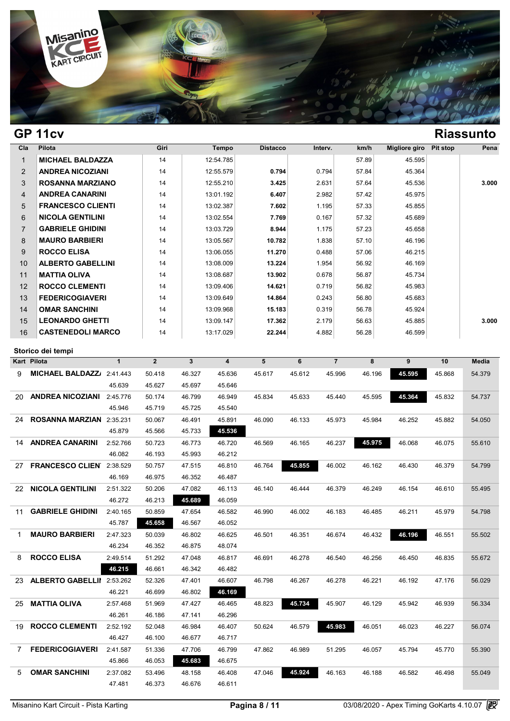

## **GP 11cv Riassunto**

| Cla            | Pilota                   | Giri | Tempo     | <b>Distacco</b> | Interv. | km/h  | Migliore giro | Pit stop | Pena  |
|----------------|--------------------------|------|-----------|-----------------|---------|-------|---------------|----------|-------|
| $\mathbf 1$    | <b>MICHAEL BALDAZZA</b>  | 14   | 12:54.785 |                 |         | 57.89 | 45.595        |          |       |
| $\overline{2}$ | <b>ANDREA NICOZIANI</b>  | 14   | 12:55.579 | 0.794           | 0.794   | 57.84 | 45.364        |          |       |
| 3              | <b>ROSANNA MARZIANO</b>  | 14   | 12:55.210 | 3.425           | 2.631   | 57.64 | 45.536        |          | 3.000 |
| $\overline{4}$ | <b>ANDREA CANARINI</b>   | 14   | 13:01.192 | 6.407           | 2.982   | 57.42 | 45.975        |          |       |
| 5              | <b>FRANCESCO CLIENTI</b> | 14   | 13:02.387 | 7.602           | 1.195   | 57.33 | 45.855        |          |       |
| 6              | <b>NICOLA GENTILINI</b>  | 14   | 13:02.554 | 7.769           | 0.167   | 57.32 | 45.689        |          |       |
| $\overline{7}$ | <b>GABRIELE GHIDINI</b>  | 14   | 13:03.729 | 8.944           | 1.175   | 57.23 | 45.658        |          |       |
| 8              | <b>MAURO BARBIERI</b>    | 14   | 13:05.567 | 10.782          | 1.838   | 57.10 | 46.196        |          |       |
| 9              | <b>ROCCO ELISA</b>       | 14   | 13:06.055 | 11.270          | 0.488   | 57.06 | 46.215        |          |       |
| 10             | <b>ALBERTO GABELLINI</b> | 14   | 13:08.009 | 13.224          | 1.954   | 56.92 | 46.169        |          |       |
| 11             | <b>MATTIA OLIVA</b>      | 14   | 13:08.687 | 13.902          | 0.678   | 56.87 | 45.734        |          |       |
| 12             | <b>ROCCO CLEMENTI</b>    | 14   | 13:09.406 | 14.621          | 0.719   | 56.82 | 45.983        |          |       |
| 13             | <b>FEDERICOGIAVERI</b>   | 14   | 13:09.649 | 14.864          | 0.243   | 56.80 | 45.683        |          |       |
| 14             | <b>OMAR SANCHINI</b>     | 14   | 13:09.968 | 15.183          | 0.319   | 56.78 | 45.924        |          |       |
| 15             | <b>LEONARDO GHETTI</b>   | 14   | 13:09.147 | 17.362          | 2.179   | 56.63 | 45.885        |          | 3.000 |
| 16             | <b>CASTENEDOLI MARCO</b> | 14   | 13:17.029 | 22.244          | 4.882   | 56.28 | 46.599        |          |       |

|    | Storico dei tempi                |              |                |              |                         |        |        |                |        |        |        |              |
|----|----------------------------------|--------------|----------------|--------------|-------------------------|--------|--------|----------------|--------|--------|--------|--------------|
|    | <b>Kart Pilota</b>               | $\mathbf{1}$ | $\overline{2}$ | $\mathbf{3}$ | $\overline{\mathbf{4}}$ | 5      | 6      | $\overline{7}$ | 8      | 9      | 10     | <b>Media</b> |
| 9  | MICHAEL BALDAZZ/ 2:41.443        |              | 50.418         | 46.327       | 45.636                  | 45.617 | 45.612 | 45.996         | 46.196 | 45.595 | 45.868 | 54.379       |
|    |                                  | 45.639       | 45.627         | 45.697       | 45.646                  |        |        |                |        |        |        |              |
| 20 | <b>ANDREA NICOZIANI</b>          | 2:45.776     | 50.174         | 46.799       | 46.949                  | 45.834 | 45.633 | 45.440         | 45.595 | 45.364 | 45.832 | 54.737       |
|    |                                  | 45.946       | 45.719         | 45.725       | 45.540                  |        |        |                |        |        |        |              |
| 24 | ROSANNA MARZIAN 2:35.231         |              | 50.067         | 46.491       | 45.891                  | 46.090 | 46.133 | 45.973         | 45.984 | 46.252 | 45.882 | 54.050       |
|    |                                  | 45.879       | 45.566         | 45.733       | 45.536                  |        |        |                |        |        |        |              |
| 14 | <b>ANDREA CANARINI</b>           | 2:52.766     | 50.723         | 46.773       | 46.720                  | 46.569 | 46.165 | 46.237         | 45.975 | 46.068 | 46.075 | 55.610       |
|    |                                  | 46.082       | 46.193         | 45.993       | 46.212                  |        |        |                |        |        |        |              |
| 27 | <b>FRANCESCO CLIEN</b>           | 2:38.529     | 50.757         | 47.515       | 46.810                  | 46.764 | 45.855 | 46.002         | 46.162 | 46.430 | 46.379 | 54.799       |
|    |                                  | 46.169       | 46.975         | 46.352       | 46.487                  |        |        |                |        |        |        |              |
| 22 | <b>NICOLA GENTILINI</b>          | 2:51.322     | 50.206         | 47.082       | 46.113                  | 46.140 | 46.444 | 46.379         | 46.249 | 46.154 | 46.610 | 55.495       |
|    |                                  | 46.272       | 46.213         | 45.689       | 46.059                  |        |        |                |        |        |        |              |
| 11 | <b>GABRIELE GHIDINI</b>          | 2:40.165     | 50.859         | 47.654       | 46.582                  | 46.990 | 46.002 | 46.183         | 46.485 | 46.211 | 45.979 | 54.798       |
|    |                                  | 45.787       | 45.658         | 46.567       | 46.052                  |        |        |                |        |        |        |              |
| 1  | <b>MAURO BARBIERI</b>            | 2:47.323     | 50.039         | 46.802       | 46.625                  | 46.501 | 46.351 | 46.674         | 46.432 | 46.196 | 46.551 | 55.502       |
|    |                                  | 46.234       | 46.352         | 46.875       | 48.074                  |        |        |                |        |        |        |              |
| 8  | <b>ROCCO ELISA</b>               | 2:49.514     | 51.292         | 47.048       | 46.817                  | 46.691 | 46.278 | 46.540         | 46.256 | 46.450 | 46.835 | 55.672       |
|    |                                  | 46.215       | 46.661         | 46.342       | 46.482                  |        |        |                |        |        |        |              |
| 23 | <b>ALBERTO GABELLII</b> 2:53.262 |              | 52.326         | 47.401       | 46.607                  | 46.798 | 46.267 | 46.278         | 46.221 | 46.192 | 47.176 | 56.029       |
|    |                                  | 46.221       | 46.699         | 46.802       | 46.169                  |        |        |                |        |        |        |              |
| 25 | <b>MATTIA OLIVA</b>              | 2:57.468     | 51.969         | 47.427       | 46.465                  | 48.823 | 45.734 | 45.907         | 46.129 | 45.942 | 46.939 | 56.334       |
|    |                                  | 46.261       | 46.186         | 47.141       | 46.296                  |        |        |                |        |        |        |              |
| 19 | <b>ROCCO CLEMENTI</b>            | 2:52.192     | 52.048         | 46.984       | 46.407                  | 50.624 | 46.579 | 45.983         | 46.051 | 46.023 | 46.227 | 56.074       |
|    |                                  | 46.427       | 46.100         | 46.677       | 46.717                  |        |        |                |        |        |        |              |
| 7  | <b>FEDERICOGIAVERI</b>           | 2:41.587     | 51.336         | 47.706       | 46.799                  | 47.862 | 46.989 | 51.295         | 46.057 | 45.794 | 45.770 | 55.390       |
|    |                                  | 45.866       | 46.053         | 45.683       | 46.675                  |        |        |                |        |        |        |              |
| 5  | <b>OMAR SANCHINI</b>             | 2:37.082     | 53.496         | 48.158       | 46.408                  | 47.046 | 45.924 | 46.163         | 46.188 | 46.582 | 46.498 | 55.049       |
|    |                                  | 47.481       | 46.373         | 46.676       | 46.611                  |        |        |                |        |        |        |              |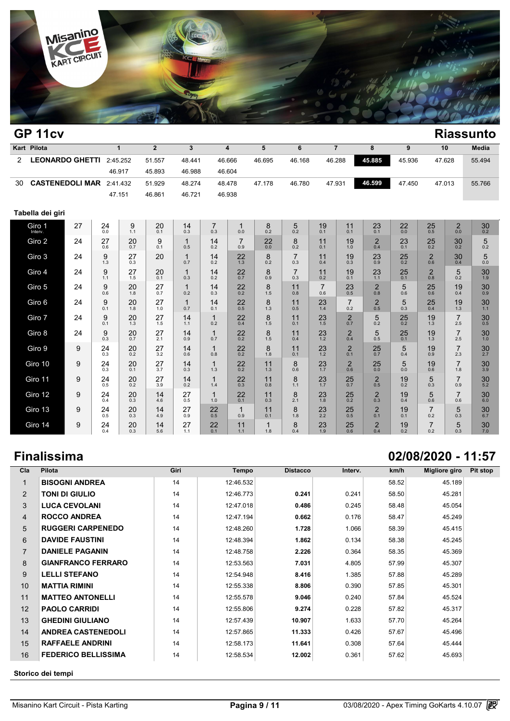

|    | GP 11cv                |    |           |              |                        |                     |                       |                         |               |                       |                       |                        |                       |                     |                       |                                    | <b>Riassunto</b>       |
|----|------------------------|----|-----------|--------------|------------------------|---------------------|-----------------------|-------------------------|---------------|-----------------------|-----------------------|------------------------|-----------------------|---------------------|-----------------------|------------------------------------|------------------------|
|    | Kart Pilota            |    |           | $\mathbf{1}$ | $\overline{2}$         | 3                   |                       | $\overline{\mathbf{4}}$ | 5             | 6                     |                       | $\overline{7}$         | 8                     | 9                   |                       | 10                                 | Media                  |
| 2  | <b>LEONARDO GHETTI</b> |    |           | 2:45.252     | 51.557                 | 48.441              |                       | 46.666                  | 46.695        | 46.168                |                       | 46.288                 | 45.885                | 45.936              |                       | 47.628                             | 55.494                 |
|    |                        |    |           | 46.917       | 45.893                 | 46.988              |                       | 46.604                  |               |                       |                       |                        |                       |                     |                       |                                    |                        |
| 30 | <b>CASTENEDOLI MAR</b> |    |           | 2:41.432     | 51.929                 | 48.274              |                       | 48.478                  | 47.178        | 46.780                |                       | 47.931                 | 46.599                | 47.450              |                       | 47.013                             | 55.766                 |
|    |                        |    |           | 47.151       | 46.861                 | 46.721              |                       | 46.938                  |               |                       |                       |                        |                       |                     |                       |                                    |                        |
|    | Tabella dei giri       |    |           |              |                        |                     |                       |                         |               |                       |                       |                        |                       |                     |                       |                                    |                        |
|    | Giro 1<br>Interv.      | 27 | 24<br>0.0 | 9<br>1.1     | 20<br>0.1              | 14<br>0.3           | $\overline{7}$<br>0.3 | $\mathbf 1$<br>0.0      | 8<br>0.2      | 5<br>0.2              | 19<br>0.1             | 11<br>0.1              | 23<br>0.1             | 22<br>0.0           | 25<br>0.5             | $\overline{c}$<br>$\overline{0.0}$ | 30<br>$0.\overline{2}$ |
|    | Giro 2                 | 24 | 27<br>0.6 | 20<br>0.7    | 9<br>0.1               | $\mathbf{1}$<br>0.5 | 14<br>0.2             | 7<br>0.9                | $^{22}_{0.0}$ | 8<br>0.2              | 11<br>0.1             | 19<br>1.0              | $\overline{2}$<br>0.4 | 23<br>0.1           | $25$ <sub>0.2</sub>   | 30<br>0.2                          | 5<br>0.2               |
|    | Giro 3                 | 24 | 9<br>1.3  | 27<br>0.3    | 20                     | $\mathbf{1}$<br>0.7 | 14<br>0.2             | 22<br>1.3               | 8<br>0.2      | $\overline{7}$<br>0.3 | 11<br>0.4             | 19<br>0.3              | 23<br>0.9             | 25<br>0.2           | $\overline{2}$<br>0.6 | 30<br>0.4                          | 5<br>0.0               |
|    | Giro 4                 | 24 | 9<br>1.1  | 27<br>1.5    | 20<br>0.1              | 1<br>0.3            | 14<br>0.2             | 22<br>0.7               | 8<br>0.9      | $\overline{7}$<br>0.3 | 11<br>0.2             | 19<br>0.1              | 23<br>1.1             | 25<br>0.1           | $\overline{2}$<br>0.8 | 5<br>0.2                           | 30<br>1.9              |
|    | Giro 5                 | 24 | 9<br>0.6  | 20<br>1.8    | 27<br>0.7              | $\mathbf{1}$<br>0.2 | 14<br>0.3             | 22<br>$\overline{0.2}$  | 8<br>1.5      | 11<br>0.8             | $\overline{7}$<br>0.6 | 23<br>$0.\overline{5}$ | $\overline{2}$<br>0.8 | 5<br>0.6            | 25<br>0.6             | 19<br>0.4                          | 30<br>0.9              |
|    | Giro 6                 | 24 | 9<br>0.1  | 20<br>1.8    | 27<br>1.0              | $\mathbf{1}$<br>0.7 | 14<br>0.1             | $\frac{22}{0.5}$        | 8<br>1.3      | 11<br>0.5             | 23<br>1.4             | $\overline{7}$<br>0.2  | $_{0.5}^{2}$          | 5<br>0.3            | $\frac{25}{0.4}$      | 19<br>1.3                          | 30<br>$1.1$            |
|    | Giro 7                 | 24 | 9<br>0.1  | 20<br>1.3    | 27<br>1.5              | 14<br>1.1           | $\mathbf{1}$<br>0.2   | 22<br>0.4               | 8<br>1.5      | 11<br>0.1             | 23<br>1.5             | $\overline{2}$<br>0.7  | 5<br>0.2              | 25<br>0.2           | 19<br>1.3             | $\overline{7}$<br>2.5              | 30<br>0.5              |
|    | Giro 8                 | 24 | 9<br>0.3  | 20<br>0.7    | 27<br>2.1              | 14<br>0.9           | $\mathbf 1$<br>0.7    | $\frac{22}{0.2}$        | 8<br>1.5      | 11<br>0.4             | 23<br>1.2             | $\overline{2}$<br>0.4  | 5<br>0.5              | $25$ <sub>0.1</sub> | 19<br>1.3             | $\overline{7}$<br>2.5              | 30<br>1.0              |
|    | Giro 9                 | 9  | 24<br>0.3 | 20<br>0.2    | 27<br>$\overline{3.2}$ | 14<br>0.6           | $\overline{1}$<br>0.8 | 22<br>0.2               | 8<br>1.8      | 11<br>0.1             | 23<br>1.2             | $\overline{2}$<br>0.1  | 25<br>0.7             | 5<br>0.4            | 19<br>0.9             | $\overline{7}$<br>2.3              | 30<br>2.7              |
|    | Giro 10                | 9  | 24<br>0.3 | 20<br>0.1    | 27<br>3.7              | 14<br>0.3           | $\mathbf{1}$<br>1.3   | 22<br>0.2               | 11<br>1.3     | 8<br>0.6              | 23<br>1.7             | $\overline{2}$<br>0.6  | 25<br>0.0             | 5<br>0.0            | 19<br>0.6             | $\overline{7}$<br>1.8              | 30<br>3.9              |
|    | Giro 11                | 9  | 24<br>0.5 | 20<br>0.2    | 27<br>3.9              | 14<br>0.2           | $\mathbf 1$<br>1.4    | 22<br>0.3               | 11<br>0.8     | 8<br>1.1              | 23<br>1.7             | 25<br>0.7              | $\overline{2}$<br>0.5 | 19<br>0.2           | 5<br>0.3              | $\overline{7}$<br>0.9              | 30<br>5.2              |
|    | Giro 12                | 9  | 24<br>0.4 | 20<br>0.3    | 14<br>4.6              | 27<br>0.5           | 1<br>1.0              | 22<br>0.1               | 11<br>0.3     | 8<br>2.1              | 23<br>1.8             | 25<br>0.2              | $\overline{2}$<br>0.3 | 19<br>0.4           | 5<br>0.6              | $\overline{7}$<br>0.6              | 30<br>6.0              |
|    | Giro 13                | 9  | 24<br>0.5 | 20<br>0.3    | 14<br>4.9              | 27<br>0.9           | 22<br>0.5             | 1<br>0.9                | 11<br>0.1     | 8<br>1.8              | 23<br>2.2             | 25<br>0.5              | $\overline{2}$<br>0.1 | 19<br>0.1           | $\overline{7}$<br>0.2 | 5<br>0.3                           | 30<br>6.7              |
|    | Giro 14                | 9  | 24<br>0.4 | 20<br>0.3    | 14<br>5.6              | 27<br>1.1           | 22<br>0.1             | 11<br>1.1               | 1<br>1.8      | 8<br>0.4              | 23<br>1.9             | 25<br>0.6              | $\overline{2}$<br>0.4 | 19<br>0.2           | $\overline{7}$<br>0.2 | 5<br>0.3                           | 30<br>7.0              |

## **Finalissima 02/08/2020 - 11:57**

| Cla            | Pilota                     | Giri | <b>Tempo</b> | <b>Distacco</b> | Interv. | km/h  | Migliore giro | Pit stop |
|----------------|----------------------------|------|--------------|-----------------|---------|-------|---------------|----------|
|                | <b>BISOGNI ANDREA</b>      | 14   | 12:46.532    |                 |         | 58.52 | 45.189        |          |
| 2              | <b>TONI DI GIULIO</b>      | 14   | 12:46.773    | 0.241           | 0.241   | 58.50 | 45.281        |          |
| 3              | <b>LUCA CEVOLANI</b>       | 14   | 12:47.018    | 0.486           | 0.245   | 58.48 | 45.054        |          |
| 4              | <b>ROCCO ANDREA</b>        | 14   | 12:47.194    | 0.662           | 0.176   | 58.47 | 45.249        |          |
| 5              | <b>RUGGERI CARPENEDO</b>   | 14   | 12:48.260    | 1.728           | 1.066   | 58.39 | 45.415        |          |
| 6              | <b>DAVIDE FAUSTINI</b>     | 14   | 12:48.394    | 1.862           | 0.134   | 58.38 | 45.245        |          |
| $\overline{7}$ | <b>DANIELE PAGANIN</b>     | 14   | 12:48.758    | 2.226           | 0.364   | 58.35 | 45.369        |          |
| 8              | <b>GIANFRANCO FERRARO</b>  | 14   | 12:53.563    | 7.031           | 4.805   | 57.99 | 45.307        |          |
| 9              | <b>LELLI STEFANO</b>       | 14   | 12:54.948    | 8.416           | 1.385   | 57.88 | 45.289        |          |
| 10             | <b>MATTIA RIMINI</b>       | 14   | 12:55.338    | 8.806           | 0.390   | 57.85 | 45.301        |          |
| 11             | <b>MATTEO ANTONELLI</b>    | 14   | 12:55.578    | 9.046           | 0.240   | 57.84 | 45.524        |          |
| 12             | <b>PAOLO CARRIDI</b>       | 14   | 12:55.806    | 9.274           | 0.228   | 57.82 | 45.317        |          |
| 13             | <b>GHEDINI GIULIANO</b>    | 14   | 12:57.439    | 10.907          | 1.633   | 57.70 | 45.264        |          |
| 14             | <b>ANDREA CASTENEDOLI</b>  | 14   | 12:57.865    | 11.333          | 0.426   | 57.67 | 45.496        |          |
| 15             | <b>RAFFAELE ANDRINI</b>    | 14   | 12:58.173    | 11.641          | 0.308   | 57.64 | 45.444        |          |
| 16             | <b>FEDERICO BELLISSIMA</b> | 14   | 12:58.534    | 12.002          | 0.361   | 57.62 | 45.693        |          |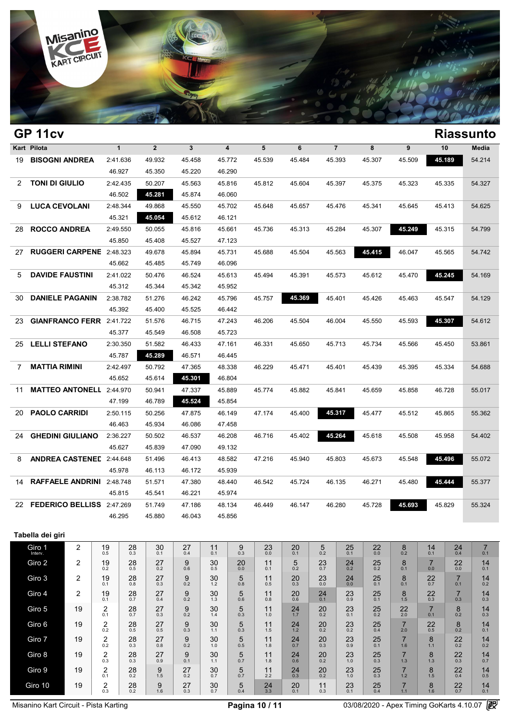

| GP 11cv<br>Kart Pilota<br>$\mathbf{1}$ |                                     |               |               |               |          |           |                                         |               |               |                 |                     |                     |              |                       |                       | <b>Riassunto</b> |
|----------------------------------------|-------------------------------------|---------------|---------------|---------------|----------|-----------|-----------------------------------------|---------------|---------------|-----------------|---------------------|---------------------|--------------|-----------------------|-----------------------|------------------|
|                                        |                                     |               |               | $\mathbf{2}$  | 3        |           | $\overline{\mathbf{4}}$                 | 5             | 6             |                 | $\overline{7}$      | 8                   | 9            | 10                    |                       | Media            |
|                                        | 19 BISOGNI ANDREA                   | 2:41.636      |               | 49.932        | 45.458   |           | 45.772                                  | 45.539        | 45.484        | 45.393          |                     | 45.307              | 45.509       |                       | 45.189                | 54.214           |
|                                        |                                     | 46.927        |               | 45.350        | 45.220   |           | 46.290                                  |               |               |                 |                     |                     |              |                       |                       |                  |
| 2                                      | <b>TONI DI GIULIO</b>               | 2:42.435      |               | 50.207        | 45.563   |           | 45.816                                  | 45.812        | 45.604        | 45.397          |                     | 45.375              | 45.323       |                       | 45.335                | 54.327           |
|                                        |                                     | 46.502        |               | 45.281        | 45.874   |           | 46.060                                  |               |               |                 |                     |                     |              |                       |                       |                  |
| 9                                      | <b>LUCA CEVOLANI</b>                | 2:48.344      |               | 49.868        | 45.550   |           | 45.702                                  | 45.648        | 45.657        |                 | 45.476              | 45.341              | 45.645       |                       | 45.413                | 54.625           |
|                                        |                                     | 45.321        |               | 45.054        | 45.612   |           | 46.121                                  |               |               |                 |                     |                     |              |                       |                       |                  |
| 28                                     | <b>ROCCO ANDREA</b>                 |               | 2:49.550      | 50.055        | 45.816   |           | 45.661                                  | 45.736        | 45.313        | 45.284          |                     | 45.307              | 45.249       |                       | 45.315                | 54.799           |
|                                        |                                     | 45.850        |               | 45.408        | 45.527   |           | 47.123                                  |               |               |                 |                     |                     |              |                       |                       |                  |
| 27                                     | <b>RUGGERI CARPENE</b> 2:48.323     |               |               | 49.678        | 45.894   |           | 45.731                                  | 45.688        | 45.504        |                 | 45.563              | 45.415              | 46.047       |                       | 45.565                | 54.742           |
|                                        |                                     | 45.662        |               | 45.485        | 45.749   |           | 46.096                                  |               |               |                 |                     |                     |              |                       |                       |                  |
| 5                                      | <b>DAVIDE FAUSTINI</b>              | 2:41.022      |               | 50.476        | 46.524   |           | 45.613                                  | 45.494        | 45.391        |                 | 45.573              | 45.612              | 45.470       | 45.245                |                       | 54.169           |
|                                        |                                     | 45.312        |               | 45.344        | 45.342   |           | 45.952                                  |               |               |                 |                     |                     |              |                       |                       |                  |
| 30                                     | <b>DANIELE PAGANIN</b>              | 2:38.782      |               | 51.276        | 46.242   | 45.796    |                                         | 45.757        | 45.369        | 45.401          |                     | 45.426              | 45.463       |                       | 45.547                | 54.129           |
|                                        |                                     |               | 45.392        | 45.400        | 45.525   | 46.442    |                                         |               |               |                 |                     |                     |              |                       |                       |                  |
| 23.                                    | <b>GIANFRANCO FERR</b> 2:41.722     |               |               | 51.576        | 46.715   |           | 47.243                                  | 46.206        | 45.504        | 46.004          |                     | 45.550              | 45.593       |                       | 45.307                | 54.612           |
|                                        |                                     |               | 45.377        | 45.549        | 46.508   |           | 45.723                                  |               |               |                 |                     |                     |              |                       |                       |                  |
| 25                                     | <b>LELLI STEFANO</b>                |               | 2:30.350      | 51.582        | 46.433   |           | 47.161                                  | 46.331        | 45.650        | 45.713          |                     | 45.734              | 45.566       | 45.450                |                       | 53.861           |
|                                        |                                     | 45.787        |               | 45.289        | 46.571   |           | 46.445                                  |               |               |                 |                     |                     |              |                       |                       |                  |
| 7                                      | <b>MATTIA RIMINI</b>                | 2:42.497      |               | 50.792        | 47.365   |           | 48.338                                  | 46.229        | 45.471        | 45.401          |                     | 45.439              | 45.395       | 45.334                |                       | 54.688           |
|                                        |                                     | 45.652        |               | 45.614        | 45.301   |           | 46.804                                  |               |               |                 |                     |                     |              |                       |                       |                  |
| 11                                     | <b>MATTEO ANTONELL 2:44.970</b>     |               |               | 50.941        | 47.337   |           | 45.889                                  | 45.774        | 45.882        | 45.841          |                     | 45.659              | 45.858       |                       | 46.728                | 55.017           |
|                                        |                                     | 47.199        |               | 46.789        | 45.524   |           | 45.854                                  |               |               |                 |                     |                     |              |                       |                       |                  |
| 20                                     | <b>PAOLO CARRIDI</b>                | 2:50.115      |               | 50.256        | 47.875   |           | 46.149                                  | 47.174        | 45.400        | 45.317          |                     | 45.477              | 45.512       |                       | 45.865                | 55.362           |
|                                        |                                     | 46.463        |               | 45.934        | 46.086   |           | 47.458                                  |               |               |                 |                     |                     |              |                       |                       |                  |
| 24.                                    | <b>GHEDINI GIULIANO</b>             | 2:36.227      |               | 50.502        | 46.537   |           | 46.208                                  | 46.716        | 45.402        |                 | 45.264              | 45.618              | 45.508       |                       | 45.958                | 54.402           |
|                                        |                                     | 45.627        |               | 45.839        | 47.090   |           | 49.132                                  |               |               |                 |                     |                     |              |                       |                       |                  |
| 8                                      | <b>ANDREA CASTENED 2:44.648</b>     |               |               | 51.496        | 46.413   |           | 48.582                                  | 47.216        | 45.940        | 45.803          |                     | 45.673              | 45.548       |                       | 45.496                | 55.072           |
|                                        |                                     | 45.978        |               | 46.113        | 46.172   |           | 45.939                                  |               |               |                 |                     |                     |              |                       |                       |                  |
| 14                                     | RAFFAELE ANDRINI 2:48.748           |               |               | 51.571        | 47.380   |           | 48.440                                  | 46.542        | 45.724        | 46.135          |                     | 46.271              | 45.480       |                       | 45.444                | 55.377           |
|                                        |                                     | 45.815        |               | 45.541        | 46.221   |           | 45.974                                  |               |               |                 |                     |                     |              |                       |                       |                  |
|                                        | 22 <b>FEDERICO BELLISS</b> 2:47.269 |               |               | 51.749        | 47.186   |           | 48.134                                  | 46.449        | 46.147        |                 | 46.280              | 45.728              | 45.693       | 45.829                |                       | 55.324           |
|                                        | 46.295                              |               |               | 45.880        | 46.043   |           | 45.856                                  |               |               |                 |                     |                     |              |                       |                       |                  |
|                                        | Tabella dei giri                    |               |               |               |          |           |                                         |               |               |                 |                     |                     |              |                       |                       |                  |
|                                        | 2                                   |               |               | 30            | 27       | 11        |                                         |               |               |                 |                     |                     |              | 14                    |                       | $\overline{7}$   |
|                                        | Giro 1                              | $^{19}_{0.5}$ | $^{28}_{0.3}$ | 0.1           | 0.4      | 0.1       | $\begin{array}{c} 9 \\ 0.3 \end{array}$ | $^{23}_{0.0}$ | $^{20}_{0.1}$ | $\frac{5}{0.2}$ | $25$ <sub>0.1</sub> | $^{22}_{0.0}$       | $_{0.2}^{8}$ | 0.1                   | $^{24}_{0.4}$         | 0.1              |
|                                        | Giro 2<br>2                         | 19<br>0.2     | 28<br>0.5     | $^{27}_{0.2}$ | 9<br>0.6 | 30<br>0.5 | 20<br>0.0                               | 11<br>0.1     | 5<br>0.2      | 23<br>0.7       | 24<br>0.2           | $25$ <sub>0.2</sub> | 8<br>0.1     | $\overline{7}$<br>0.0 | 22<br>0.0             | 14<br>0.1        |
|                                        | Giro 3<br>2                         | 19            | 28<br>0.8     | 27<br>0.3     | 9<br>0.2 | 30<br>1.2 | 5<br>0.8                                | 11<br>0.5     | 20<br>0.3     | 23<br>0.0       | 24<br>0.0           | 25<br>0.1           | 8            | 22<br>0.7             | $\overline{7}$<br>0.1 | 14<br>0.2        |
|                                        | 2<br>Giro 4                         | 0.1<br>19     | 28            | 27            | 9        | 30        | 5                                       | 11            | 20            | 24              | 23                  | 25                  | 0.1<br>8     | 22                    | $\overline{7}$        | 14               |
|                                        |                                     | 0.1           | 0.7           | 0.4           | 0.2      | 1.3       | 0.6                                     | 0.8           | 0.6           | 0.1             | 0.9                 | 0.1                 | 1.5          | 0.3                   | 0.3                   | 0.3              |

Giro 10 19  $\begin{array}{|c|c|c|}\n\hline\n2 & 0.3 \\
\hline\n\end{array}$ 

Giro 5 19  $\begin{array}{|c|c|c|} \hline 2 & 19 & 2 \ \hline 0.1 & 0.1 & 0.1 \ \hline \end{array}$ 

Giro 7 19  $\begin{array}{|c|c|c|} \hline 2 & 2 \\ 0.2 & \hline \end{array}$ 

Giro 8  $19 \begin{array}{|c|c|} 1 & 2 \end{array}$ 

Giro 6 19

Giro 9 19

 $\begin{array}{c|c} 2 & 28 \\ 0.1 & 0.7 \\ 2 & 28 \\ 0.2 & 0.5 \end{array}$ 

 $\begin{array}{c|c}\n2 & 28 \\
0.3 & 0.3 \\
2 & 28 \\
0.1 & 0.2\n\end{array}$ 

 $28 \atop 0.5$ 

 $^{28}_{0.3}$ 

 $28_{0.2}$ 

 $28 \atop 0.2$ 

 $^{27}_{0.3}$ 

 $^{27}_{0.5}$ 

 $^{27}_{0.8}$ 

 $^{27}_{0.9}$ 

 $9\n1.5$ 

 $\frac{9}{1.6}$ 

 $^{9}_{0.2}$ 

 $9 \n0.3$ 

 $9<sub>0.2</sub>$ 

 $9<sub>0.1</sub>$ 

 $27 \atop 0.2$ 

 $^{27}_{0.3}$ 

 $30^{1.4}$ 

 $30^{1.1}$ 

 $30<sub>1.0</sub>$ 

 $30^{1.1}$ 

 $30<sub>0.7</sub>$ 

 $30<sub>0.7</sub>$ 

 $\begin{array}{|c|c|} \hline 5 & 24 \\ 0.4 & 3.3 \\ \hline \end{array}$ 

 $\begin{array}{c|c} 5 & 11 \\ 0.3 & 1.0 \end{array}$ 

 $\begin{array}{c|c} 5 & 11 \\ 0.5 & 1.8 \end{array}$ 

 $\begin{array}{c|c} 5 & 11 \\ 0.7 & 1.8 \end{array}$ 

 $\frac{5}{0.3}$ 

 $\frac{5}{0.7}$ 

 $24 \atop 1.7$ 1.0  $24 \n20 \n23 \n2.17 \n2.2 \n2.3 \n2.1$ 

 $^{24}_{0.7}$ 11  $24 \n\begin{array}{|c|c|c|} \n24 \n\end{array}$  20  $23 \n\begin{array}{|c|c|} \n23 \n\end{array}$ 

 $^{24}_{0.6}$ 11  $24 \n\begin{array}{|c|c|c|c|}\n\hline\n1.8 & 0.6 & 0.2 & 1.0\n\end{array}$ 

11  $24 \n20 \n23 \n22 \n23$ 

 $\begin{array}{|c|c|c|c|c|}\n 21 & 22 & 23 \\
 2.2 & 0.3 & 0.2 & 1.0\n \end{array}$ 

 $11$ <sub>0.3</sub>

 $\begin{array}{|c|c|c|}\n 11 & 24 \\
 \hline\n 1.5 & 1.2\n \end{array}$ 

 $\begin{array}{|c|c|c|}\n 11 & 24 \\
 \hline\n 2.2 & 0.3\n \end{array}$ 

 $\begin{array}{c|c|c|c|c} 5 & 24 & 20 & 11 \\ 0.4 & 3.3 & 0.1 & 0.3 \end{array}$ 

 $^{23}_{0.1}$ 

 $23 \atop 0.2$ 

 $^{23}_{0.9}$ 

 $23 \atop 1.0$ 

 $23 \atop 1.0$ 

 $23$ <sub>0.1</sub>

 $25$ <sub>0.2</sub>

 $25$ <sub>0.4</sub>

 $^{25}_{0.1}$ 

 $25$ <sub>0.3</sub>

 $\frac{25}{0.3}$ 

 $^{25}_{0.4}$ 

 $\frac{22}{2.0}$ 

 $\frac{7}{2.0}$ 

 $\frac{7}{1.6}$ 

 $\frac{7}{1.3}$ 

 $\frac{7}{1.2}$ 

 $\frac{7}{1.1}$ 

 $\frac{7}{0.1}$ 

 $\frac{22}{0.5}$ 

 $\frac{8}{1.1}$ 

 $\frac{8}{1.3}$ 

 $\frac{8}{1.5}$ 

 $\frac{8}{1.6}$ 

 $_{0.2}^{8}$ 

 $_{0.2}^{8}$ 

 $22$ <sub>0.2</sub>

 $22$ <sub>0.3</sub>

 $22$ <sub>0.4</sub>

 $22$ <sub>0.7</sub>

 $\begin{array}{c|c} 8 & 14 \\ 0.2 & 0.3 \end{array}$ 

 $\begin{array}{c|c} 8 & 14 \\ 0.2 & 0.1 \end{array}$ 

 $\begin{array}{ccc} 22 & 14 \\ 0.2 & 0.2 \end{array}$ 

 $\begin{array}{c|c} 22 & 14 \\ 0.3 & 0.7 \end{array}$ 

 $\begin{array}{c|c} 22 & 14 \\ 0.5 & 0.5 \end{array}$ 

 $\begin{array}{c|c} 22 & 14 \\ 0.7 & 0.1 \end{array}$ 

Misanino Kart Circuit - Pista Karting **Pagina 10 / 11** 03/08/2020 - Apex Timing GoKarts 4.10.07